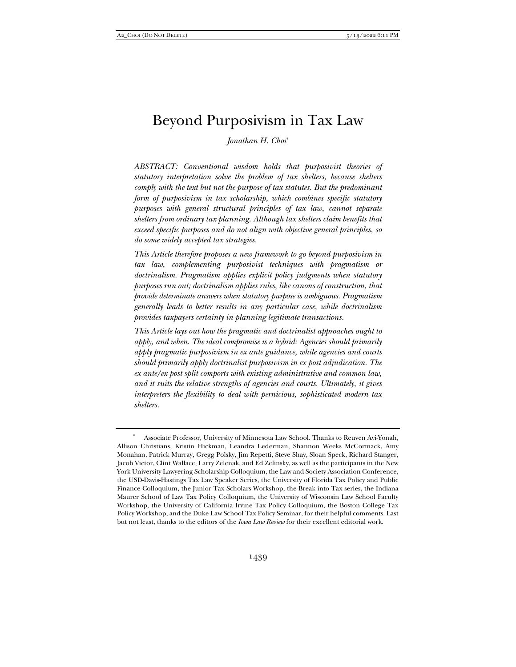# Beyond Purposivism in Tax Law

*Jonathan H. Choi*\*

*ABSTRACT: Conventional wisdom holds that purposivist theories of statutory interpretation solve the problem of tax shelters, because shelters comply with the text but not the purpose of tax statutes. But the predominant form of purposivism in tax scholarship, which combines specific statutory purposes with general structural principles of tax law, cannot separate shelters from ordinary tax planning. Although tax shelters claim benefits that exceed specific purposes and do not align with objective general principles, so do some widely accepted tax strategies.* 

*This Article therefore proposes a new framework to go beyond purposivism in tax law, complementing purposivist techniques with pragmatism or doctrinalism. Pragmatism applies explicit policy judgments when statutory purposes run out; doctrinalism applies rules, like canons of construction, that provide determinate answers when statutory purpose is ambiguous. Pragmatism generally leads to better results in any particular case, while doctrinalism provides taxpayers certainty in planning legitimate transactions.* 

*This Article lays out how the pragmatic and doctrinalist approaches ought to apply, and when. The ideal compromise is a hybrid: Agencies should primarily apply pragmatic purposivism in ex ante guidance, while agencies and courts should primarily apply doctrinalist purposivism in ex post adjudication. The ex ante/ex post split comports with existing administrative and common law, and it suits the relative strengths of agencies and courts. Ultimately, it gives interpreters the flexibility to deal with pernicious, sophisticated modern tax shelters.* 

Associate Professor, University of Minnesota Law School. Thanks to Reuven Avi-Yonah, Allison Christians, Kristin Hickman, Leandra Lederman, Shannon Weeks McCormack, Amy Monahan, Patrick Murray, Gregg Polsky, Jim Repetti, Steve Shay, Sloan Speck, Richard Stanger, Jacob Victor, Clint Wallace, Larry Zelenak, and Ed Zelinsky, as well as the participants in the New York University Lawyering Scholarship Colloquium, the Law and Society Association Conference, the USD-Davis-Hastings Tax Law Speaker Series, the University of Florida Tax Policy and Public Finance Colloquium, the Junior Tax Scholars Workshop, the Break into Tax series, the Indiana Maurer School of Law Tax Policy Colloquium, the University of Wisconsin Law School Faculty Workshop, the University of California Irvine Tax Policy Colloquium, the Boston College Tax Policy Workshop, and the Duke Law School Tax Policy Seminar, for their helpful comments. Last but not least, thanks to the editors of the *Iowa Law Review* for their excellent editorial work.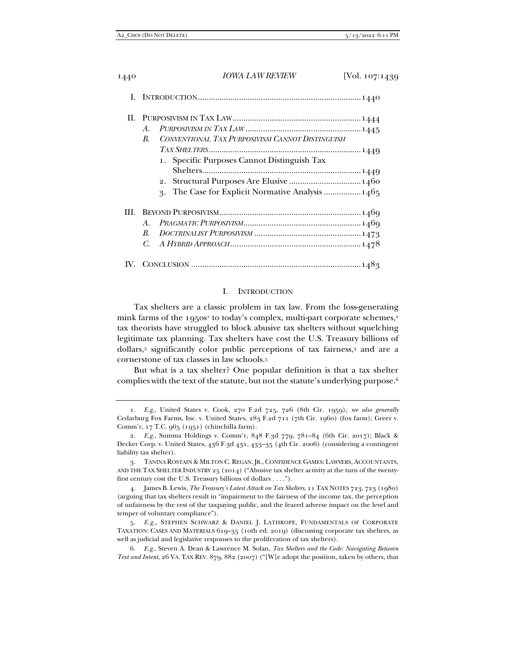|      | $A_{\cdot}$<br>CONVENTIONAL TAX PURPOSIVISM CANNOT DISTINGUISH<br>$\boldsymbol{B}$ .             |
|------|--------------------------------------------------------------------------------------------------|
|      | 1. Specific Purposes Cannot Distinguish Tax<br>3. The Case for Explicit Normative Analysis  1465 |
| III. | $A_{\cdot}$<br>$\boldsymbol{B}$ .<br>C.                                                          |
|      |                                                                                                  |

## I. INTRODUCTION

Tax shelters are a classic problem in tax law. From the loss-generating mink farms of the 1950s<sup>1</sup> to today's complex, multi-part corporate schemes,<sup>2</sup> tax theorists have struggled to block abusive tax shelters without squelching legitimate tax planning. Tax shelters have cost the U.S. Treasury billions of dollars,3 significantly color public perceptions of tax fairness,4 and are a cornerstone of tax classes in law schools.5

But what is a tax shelter? One popular definition is that a tax shelter complies with the text of the statute, but not the statute's underlying purpose.6

<sup>1</sup>*. E.g.*, United States v. Cook, 270 F.2d 725, 726 (8th Cir. 1959)*; see also generally* Cedarburg Fox Farms, Inc. v. United States, 283 F.2d 711 (7th Cir. 1960) (fox farm); Greer v. Comm'r, 17 T.C. 965 (1951) (chinchilla farm).

<sup>2</sup>*. E.g.*, Summa Holdings v. Comm'r, 848 F.3d 779, 781–84 (6th Cir. 2017); Black & Decker Corp. v. United States, 436 F.3d 431, 433–35 (4th Cir. 2006) (considering a contingent liability tax shelter).

 <sup>3.</sup> TANINA ROSTAIN & MILTON C. REGAN, JR., CONFIDENCE GAMES: LAWYERS, ACCOUNTANTS, AND THE TAX SHELTER INDUSTRY 25 (2014) ("Abusive tax shelter activity at the turn of the twentyfirst century cost the U.S. Treasury billions of dollars . . . .").

 <sup>4.</sup> James B. Lewis, *The Treasury's Latest Attack on Tax Shelters*, 11 TAX NOTES 723, 723 (1980) (arguing that tax shelters result in "impairment to the fairness of the income tax, the perception of unfairness by the rest of the taxpaying public, and the feared adverse impact on the level and temper of voluntary compliance").

<sup>5</sup>*. E.g.*, STEPHEN SCHWARZ & DANIEL J. LATHROPE, FUNDAMENTALS OF CORPORATE TAXATION: CASES AND MATERIALS 619–35 (10th ed. 2019) (discussing corporate tax shelters, as well as judicial and legislative responses to the proliferation of tax shelters).

<sup>6</sup>*. E.g.*, Steven A. Dean & Lawrence M. Solan, *Tax Shelters and the Code: Navigating Between Text and Intent*, 26 VA. TAX REV. 879, 882 (2007) ("[W]e adopt the position, taken by others, that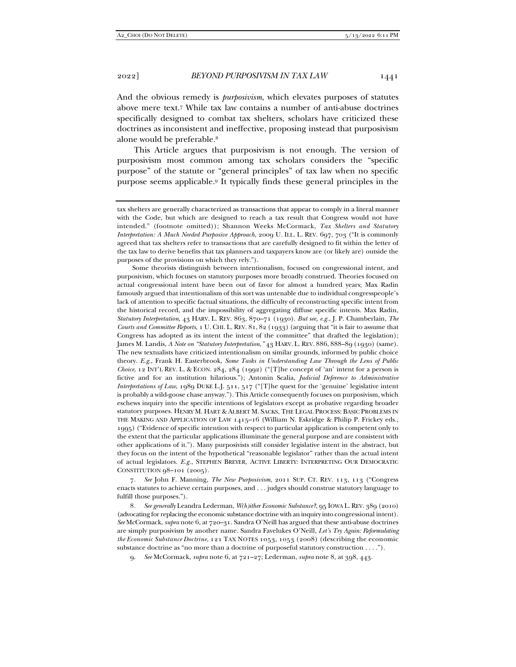And the obvious remedy is *purposivism*, which elevates purposes of statutes above mere text.7 While tax law contains a number of anti-abuse doctrines specifically designed to combat tax shelters, scholars have criticized these doctrines as inconsistent and ineffective, proposing instead that purposivism alone would be preferable.8

This Article argues that purposivism is not enough. The version of purposivism most common among tax scholars considers the "specific purpose" of the statute or "general principles" of tax law when no specific purpose seems applicable.9 It typically finds these general principles in the

Some theorists distinguish between intentionalism, focused on congressional intent, and purposivism, which focuses on statutory purposes more broadly construed. Theories focused on actual congressional intent have been out of favor for almost a hundred years; Max Radin famously argued that intentionalism of this sort was untenable due to individual congresspeople's lack of attention to specific factual situations, the difficulty of reconstructing specific intent from the historical record, and the impossibility of aggregating diffuse specific intents. Max Radin, *Statutory Interpretation*, 43 HARV. L. REV. 863, 870–71 (1930). *But see, e.g.*, J. P. Chamberlain, *The Courts and Committee Reports*, 1 U. CHI. L. REV. 81, 82 (1933) (arguing that "it is fair to assume that Congress has adopted as its intent the intent of the committee" that drafted the legislation); James M. Landis, *A Note on "Statutory Interpretation*,*"* 43 HARV. L. REV. 886, 888–89 (1930) (same). The new textualists have criticized intentionalism on similar grounds, informed by public choice theory. *E.g.*, Frank H. Easterbrook, *Some Tasks in Understanding Law Through the Lens of Public Choice*, 12 INT'L REV. L. & ECON. 284, 284 (1992) ("[T]he concept of 'an' intent for a person is fictive and for an institution hilarious."); Antonin Scalia, *Judicial Deference to Administrative Interpretations of Law*, 1989 DUKE L.J. 511, 517 ("[T]he quest for the 'genuine' legislative intent is probably a wild-goose chase anyway."). This Article consequently focuses on purposivism, which eschews inquiry into the specific intentions of legislators except as probative regarding broader statutory purposes. HENRY M. HART & ALBERT M. SACKS, THE LEGAL PROCESS: BASIC PROBLEMS IN THE MAKING AND APPLICATION OF LAW 1415–16 (William N. Eskridge & Philip P. Frickey eds., 1995) ("Evidence of specific intention with respect to particular application is competent only to the extent that the particular applications illuminate the general purpose and are consistent with other applications of it."). Many purposivists still consider legislative intent in the abstract, but they focus on the intent of the hypothetical "reasonable legislator" rather than the actual intent of actual legislators. *E.g.*, STEPHEN BREYER, ACTIVE LIBERTY: INTERPRETING OUR DEMOCRATIC CONSTITUTION 98–101 (2005).

7*. See* John F. Manning, *The New Purposivism*, 2011 SUP. CT. REV. 113, 113 ("Congress enacts statutes to achieve certain purposes, and . . . judges should construe statutory language to fulfill those purposes.").

8*. See generally* Leandra Lederman, *W(h)ither Economic Substance?*, 95 IOWA L. REV. 389 (2010) (advocating for replacing the economic substance doctrine with an inquiry into congressional intent). *See* McCormack, *supra* note 6, at 720–31. Sandra O'Neill has argued that these anti-abuse doctrines are simply purposivism by another name. Sandra Favelukes O'Neill, *Let's Try Again: Reformulating the Economic Substance Doctrine*, 121 TAX NOTES 1053, 1053 (2008) (describing the economic substance doctrine as "no more than a doctrine of purposeful statutory construction . . . .").

9. *See* McCormack, *supra* note 6, at 721–27; Lederman, *supra* note 8, at 398, 443.

tax shelters are generally characterized as transactions that appear to comply in a literal manner with the Code, but which are designed to reach a tax result that Congress would not have intended." (footnote omitted)); Shannon Weeks McCormack, *Tax Shelters and Statutory Interpretation: A Much Needed Purposive Approach*, 2009 U. ILL. L. REV. 697, 703 ("It is commonly agreed that tax shelters refer to transactions that are carefully designed to fit within the letter of the tax law to derive benefits that tax planners and taxpayers know are (or likely are) outside the purposes of the provisions on which they rely.").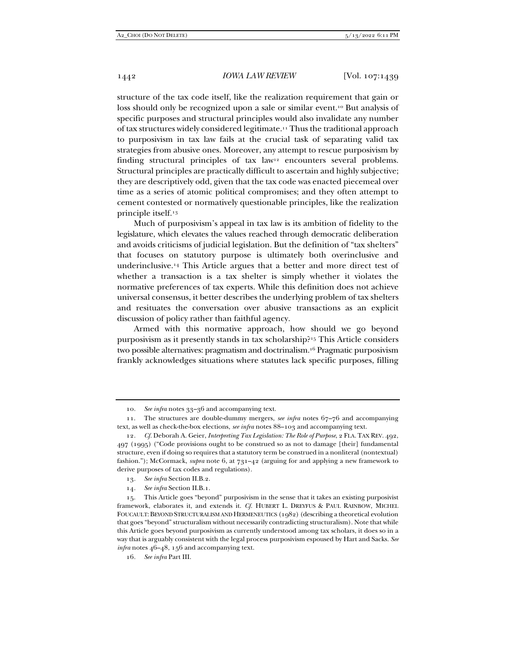structure of the tax code itself, like the realization requirement that gain or loss should only be recognized upon a sale or similar event.<sup>10</sup> But analysis of specific purposes and structural principles would also invalidate any number of tax structures widely considered legitimate.11 Thus the traditional approach to purposivism in tax law fails at the crucial task of separating valid tax strategies from abusive ones. Moreover, any attempt to rescue purposivism by finding structural principles of tax law<sup>12</sup> encounters several problems. Structural principles are practically difficult to ascertain and highly subjective; they are descriptively odd, given that the tax code was enacted piecemeal over time as a series of atomic political compromises; and they often attempt to cement contested or normatively questionable principles, like the realization principle itself.13

Much of purposivism's appeal in tax law is its ambition of fidelity to the legislature, which elevates the values reached through democratic deliberation and avoids criticisms of judicial legislation. But the definition of "tax shelters" that focuses on statutory purpose is ultimately both overinclusive and underinclusive.14 This Article argues that a better and more direct test of whether a transaction is a tax shelter is simply whether it violates the normative preferences of tax experts. While this definition does not achieve universal consensus, it better describes the underlying problem of tax shelters and resituates the conversation over abusive transactions as an explicit discussion of policy rather than faithful agency.

Armed with this normative approach, how should we go beyond purposivism as it presently stands in tax scholarship?15 This Article considers two possible alternatives: pragmatism and doctrinalism.16 Pragmatic purposivism frankly acknowledges situations where statutes lack specific purposes, filling

<sup>10</sup>*. See infra* notes 33–36 and accompanying text.

 <sup>11.</sup> The structures are double-dummy mergers, *see infra* notes 67–76 and accompanying text, as well as check-the-box elections, *see infra* notes 88–103 and accompanying text.

<sup>12</sup>*. Cf.* Deborah A. Geier, *Interpreting Tax Legislation: The Role of Purpose*, 2 FLA. TAX REV. 492, 497 (1995) ("Code provisions ought to be construed so as not to damage [their] fundamental structure, even if doing so requires that a statutory term be construed in a nonliteral (nontextual) fashion."); McCormack, *supra* note 6, at 731–42 (arguing for and applying a new framework to derive purposes of tax codes and regulations).

<sup>13</sup>*. See infra* Section II.B.2.

<sup>14</sup>*. See infra* Section II.B.1.

 <sup>15.</sup> This Article goes "beyond" purposivism in the sense that it takes an existing purposivist framework, elaborates it, and extends it. *Cf.* HUBERT L. DREYFUS & PAUL RAINBOW, MICHEL FOUCAULT:BEYOND STRUCTURALISM AND HERMENEUTICS (1982) (describing a theoretical evolution that goes "beyond" structuralism without necessarily contradicting structuralism). Note that while this Article goes beyond purposivism as currently understood among tax scholars, it does so in a way that is arguably consistent with the legal process purposivism espoused by Hart and Sacks. *See infra* notes 46–48, 156 and accompanying text.

<sup>16</sup>*. See infra* Part III.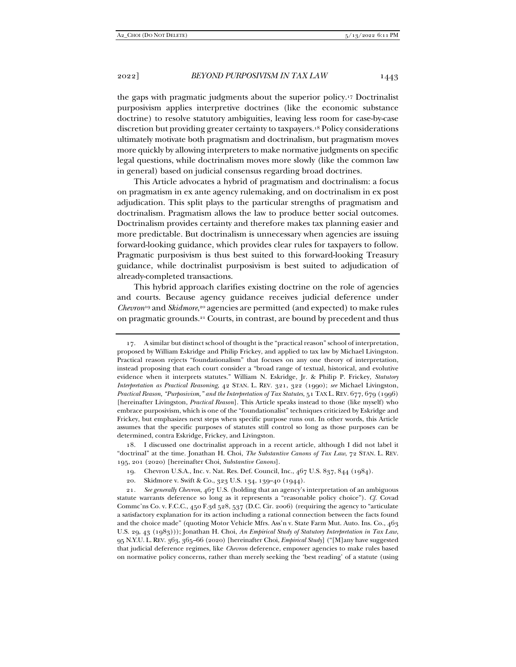the gaps with pragmatic judgments about the superior policy.17 Doctrinalist purposivism applies interpretive doctrines (like the economic substance doctrine) to resolve statutory ambiguities, leaving less room for case-by-case discretion but providing greater certainty to taxpayers.18 Policy considerations ultimately motivate both pragmatism and doctrinalism, but pragmatism moves more quickly by allowing interpreters to make normative judgments on specific legal questions, while doctrinalism moves more slowly (like the common law in general) based on judicial consensus regarding broad doctrines.

This Article advocates a hybrid of pragmatism and doctrinalism: a focus on pragmatism in ex ante agency rulemaking, and on doctrinalism in ex post adjudication. This split plays to the particular strengths of pragmatism and doctrinalism. Pragmatism allows the law to produce better social outcomes. Doctrinalism provides certainty and therefore makes tax planning easier and more predictable. But doctrinalism is unnecessary when agencies are issuing forward-looking guidance, which provides clear rules for taxpayers to follow. Pragmatic purposivism is thus best suited to this forward-looking Treasury guidance, while doctrinalist purposivism is best suited to adjudication of already-completed transactions.

This hybrid approach clarifies existing doctrine on the role of agencies and courts. Because agency guidance receives judicial deference under *Chevron*<sup>19</sup> and *Skidmore*,<sup>20</sup> agencies are permitted (and expected) to make rules on pragmatic grounds.21 Courts, in contrast, are bound by precedent and thus

 18. I discussed one doctrinalist approach in a recent article, although I did not label it "doctrinal" at the time. Jonathan H. Choi, *The Substantive Canons of Tax Law*, 72 STAN. L. REV. 195, 201 (2020) [hereinafter Choi, *Substantive Canons*].

20. Skidmore v. Swift & Co., 323 U.S. 134, 139–40 (1944).

 <sup>17.</sup> A similar but distinct school of thought is the "practical reason" school of interpretation, proposed by William Eskridge and Philip Frickey, and applied to tax law by Michael Livingston. Practical reason rejects "foundationalism" that focuses on any one theory of interpretation, instead proposing that each court consider a "broad range of textual, historical, and evolutive evidence when it interprets statutes." William N. Eskridge, Jr. & Philip P. Frickey, *Statutory Interpretation as Practical Reasoning*, 42 STAN. L. REV. 321, 322 (1990); *see* Michael Livingston, *Practical Reason, "Purposivism," and the Interpretation of Tax Statutes*, 51 TAX L. REV. 677, 679 (1996) [hereinafter Livingston, *Practical Reason*]. This Article speaks instead to those (like myself) who embrace purposivism, which is one of the "foundationalist" techniques criticized by Eskridge and Frickey, but emphasizes next steps when specific purpose runs out. In other words, this Article assumes that the specific purposes of statutes still control so long as those purposes can be determined, contra Eskridge, Frickey, and Livingston.

 <sup>19.</sup> Chevron U.S.A., Inc. v. Nat. Res. Def. Council, Inc., 467 U.S. 837, 844 (1984).

<sup>21</sup>*. See generally Chevron*, 467 U.S. (holding that an agency's interpretation of an ambiguous statute warrants deference so long as it represents a "reasonable policy choice"). *Cf.* Covad Commc'ns Co. v. F.C.C., 450 F.3d 528, 537 (D.C. Cir. 2006) (requiring the agency to "articulate a satisfactory explanation for its action including a rational connection between the facts found and the choice made" (quoting Motor Vehicle Mfrs. Ass'n v. State Farm Mut. Auto. Ins. Co., 463 U.S. 29, 43 (1983))); Jonathan H. Choi, *An Empirical Study of Statutory Interpretation in Tax Law*, 95 N.Y.U. L. REV. 363, 365–66 (2020) [hereinafter Choi, *Empirical Study*] ("[M]any have suggested that judicial deference regimes, like *Chevron* deference, empower agencies to make rules based on normative policy concerns, rather than merely seeking the 'best reading' of a statute (using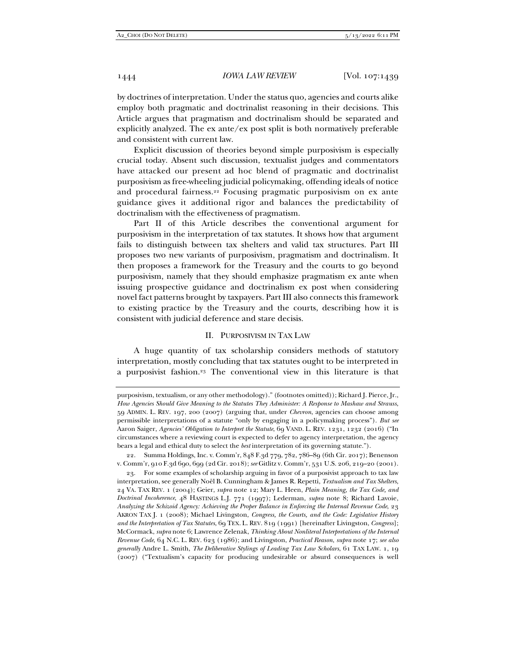by doctrines of interpretation. Under the status quo, agencies and courts alike employ both pragmatic and doctrinalist reasoning in their decisions. This Article argues that pragmatism and doctrinalism should be separated and explicitly analyzed. The ex ante/ex post split is both normatively preferable and consistent with current law.

Explicit discussion of theories beyond simple purposivism is especially crucial today. Absent such discussion, textualist judges and commentators have attacked our present ad hoc blend of pragmatic and doctrinalist purposivism as free-wheeling judicial policymaking, offending ideals of notice and procedural fairness.22 Focusing pragmatic purposivism on ex ante guidance gives it additional rigor and balances the predictability of doctrinalism with the effectiveness of pragmatism.

Part II of this Article describes the conventional argument for purposivism in the interpretation of tax statutes. It shows how that argument fails to distinguish between tax shelters and valid tax structures. Part III proposes two new variants of purposivism, pragmatism and doctrinalism. It then proposes a framework for the Treasury and the courts to go beyond purposivism, namely that they should emphasize pragmatism ex ante when issuing prospective guidance and doctrinalism ex post when considering novel fact patterns brought by taxpayers. Part III also connects this framework to existing practice by the Treasury and the courts, describing how it is consistent with judicial deference and stare decisis.

#### II. PURPOSIVISM IN TAX LAW

A huge quantity of tax scholarship considers methods of statutory interpretation, mostly concluding that tax statutes ought to be interpreted in a purposivist fashion.23 The conventional view in this literature is that

purposivism, textualism, or any other methodology)." (footnotes omitted)); Richard J. Pierce, Jr., *How Agencies Should Give Meaning to the Statutes They Administer: A Response to Mashaw and Strauss*, 59 ADMIN. L. REV. 197, 200 (2007) (arguing that, under *Chevron*, agencies can choose among permissible interpretations of a statute "only by engaging in a policymaking process"). *But see* Aaron Saiger, *Agencies' Obligation to Interpret the Statute*, 69 VAND. L. REV. 1231, 1232 (2016) ("In circumstances where a reviewing court is expected to defer to agency interpretation, the agency bears a legal and ethical duty to select the *best* interpretation of its governing statute.").

 <sup>22.</sup> Summa Holdings, Inc. v. Comm'r, 848 F.3d 779, 782, 786–89 (6th Cir. 2017); Benenson v. Comm'r, 910 F.3d 690, 699 (2d Cir. 2018); *see* Gitlitz v. Comm'r, 531 U.S. 206, 219–20 (2001).

 <sup>23.</sup> For some examples of scholarship arguing in favor of a purposivist approach to tax law interpretation, see generally Noël B. Cunningham & James R. Repetti, *Textualism and Tax Shelters*, 24 VA. TAX REV. 1 (2004); Geier, *supra* note 12; Mary L. Heen, *Plain Meaning, the Tax Code, and Doctrinal Incoherence*, 48 HASTINGS L.J. 771 (1997); Lederman, *supra* note 8; Richard Lavoie, *Analyzing the Schizoid Agency: Achieving the Proper Balance in Enforcing the Internal Revenue Code*, 23 AKRON TAX J. 1 (2008); Michael Livingston, *Congress, the Courts, and the Code: Legislative History and the Interpretation of Tax Statutes*, 69 TEX. L. REV. 819 (1991) [hereinafter Livingston, *Congress*]; McCormack, *supra* note 6; Lawrence Zelenak, *Thinking About Nonliteral Interpretations of the Internal Revenue Code*, 64 N.C. L. REV. 623 (1986); and Livingston, *Practical Reason*, *supra* note 17; *see also generally* Andre L. Smith, *The Deliberative Stylings of Leading Tax Law Scholars*, 61 TAX LAW. 1, 19 (2007) ("Textualism's capacity for producing undesirable or absurd consequences is well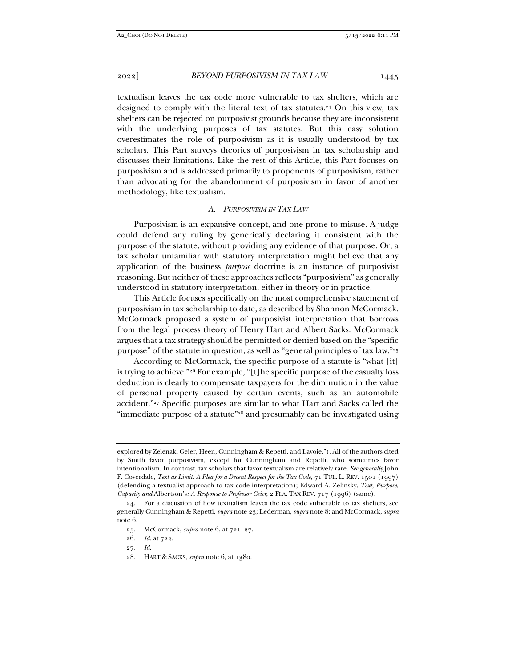textualism leaves the tax code more vulnerable to tax shelters, which are designed to comply with the literal text of tax statutes.24 On this view, tax shelters can be rejected on purposivist grounds because they are inconsistent with the underlying purposes of tax statutes. But this easy solution overestimates the role of purposivism as it is usually understood by tax scholars. This Part surveys theories of purposivism in tax scholarship and discusses their limitations. Like the rest of this Article, this Part focuses on purposivism and is addressed primarily to proponents of purposivism, rather than advocating for the abandonment of purposivism in favor of another methodology, like textualism.

#### *A. PURPOSIVISM IN TAX LAW*

Purposivism is an expansive concept, and one prone to misuse. A judge could defend any ruling by generically declaring it consistent with the purpose of the statute, without providing any evidence of that purpose. Or, a tax scholar unfamiliar with statutory interpretation might believe that any application of the business *purpose* doctrine is an instance of purposivist reasoning. But neither of these approaches reflects "purposivism" as generally understood in statutory interpretation, either in theory or in practice.

This Article focuses specifically on the most comprehensive statement of purposivism in tax scholarship to date, as described by Shannon McCormack. McCormack proposed a system of purposivist interpretation that borrows from the legal process theory of Henry Hart and Albert Sacks. McCormack argues that a tax strategy should be permitted or denied based on the "specific purpose" of the statute in question, as well as "general principles of tax law."25

According to McCormack, the specific purpose of a statute is "what [it] is trying to achieve."26 For example, "[t]he specific purpose of the casualty loss deduction is clearly to compensate taxpayers for the diminution in the value of personal property caused by certain events, such as an automobile accident."27 Specific purposes are similar to what Hart and Sacks called the "immediate purpose of a statute"<sup>28</sup> and presumably can be investigated using

27*. Id.*

explored by Zelenak, Geier, Heen, Cunningham & Repetti, and Lavoie."). All of the authors cited by Smith favor purposivism, except for Cunningham and Repetti, who sometimes favor intentionalism. In contrast, tax scholars that favor textualism are relatively rare. *See generally* John F. Coverdale, *Text as Limit: A Plea for a Decent Respect for the Tax Code*, 71 TUL. L. REV. 1501 (1997) (defending a textualist approach to tax code interpretation); Edward A. Zelinsky, *Text, Purpose, Capacity and* Albertson's*: A Response to Professor Geier*, 2 FLA. TAX REV. 717 (1996) (same).

 <sup>24.</sup> For a discussion of how textualism leaves the tax code vulnerable to tax shelters, see generally Cunningham & Repetti, *supra* note 23; Lederman, *supra* note 8; and McCormack, *supra* note 6.

 <sup>25.</sup> McCormack, *supra* note 6, at 721–27.

<sup>26</sup>*. Id.* at 722.

 <sup>28.</sup> HART & SACKS, *supra* note 6, at 1380.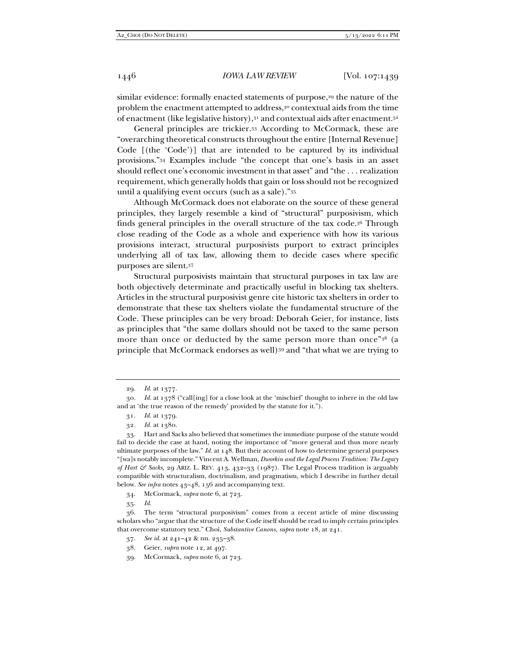similar evidence: formally enacted statements of purpose,<sup>29</sup> the nature of the problem the enactment attempted to address,<sup>30</sup> contextual aids from the time of enactment (like legislative history),31 and contextual aids after enactment.32

General principles are trickier.33 According to McCormack, these are "overarching theoretical constructs throughout the entire [Internal Revenue] Code [(the 'Code')] that are intended to be captured by its individual provisions."34 Examples include "the concept that one's basis in an asset should reflect one's economic investment in that asset" and "the . . . realization requirement, which generally holds that gain or loss should not be recognized until a qualifying event occurs (such as a sale)."35

Although McCormack does not elaborate on the source of these general principles, they largely resemble a kind of "structural" purposivism, which finds general principles in the overall structure of the tax code.36 Through close reading of the Code as a whole and experience with how its various provisions interact, structural purposivists purport to extract principles underlying all of tax law, allowing them to decide cases where specific purposes are silent.37

Structural purposivists maintain that structural purposes in tax law are both objectively determinate and practically useful in blocking tax shelters. Articles in the structural purposivist genre cite historic tax shelters in order to demonstrate that these tax shelters violate the fundamental structure of the Code. These principles can be very broad: Deborah Geier, for instance, lists as principles that "the same dollars should not be taxed to the same person more than once or deducted by the same person more than once"38 (a principle that McCormack endorses as well)<sup>39</sup> and "that what we are trying to

34. McCormack, *supra* note 6, at 723.

35. *Id.*

 36. The term "structural purposivism" comes from a recent article of mine discussing scholars who "argue that the structure of the Code itself should be read to imply certain principles that overcome statutory text." Choi, *Substantive Canons*, *supra* note 18, at 241.

<sup>29</sup>*. Id.* at 1377.

<sup>30</sup>*. Id.* at 1378 ("call[ing] for a close look at the 'mischief' thought to inhere in the old law and at 'the true reason of the remedy' provided by the statute for it.").

<sup>31</sup>*. Id.* at 1379.

<sup>32</sup>*. Id.* at 1380.

 <sup>33.</sup> Hart and Sacks also believed that sometimes the immediate purpose of the statute would fail to decide the case at hand, noting the importance of "more general and thus more nearly ultimate purposes of the law." *Id.* at 148. But their account of how to determine general purposes "[wa]s notably incomplete." Vincent A. Wellman, *Dworkin and the Legal Process Tradition: The Legacy of Hart & Sacks*, 29 ARIZ. L. REV. 413, 432–33 (1987). The Legal Process tradition is arguably compatible with structuralism, doctrinalism, and pragmatism, which I describe in further detail below. *See infra* notes 43–48, 156 and accompanying text.

<sup>37</sup>*. See id.* at 241–42 & nn. 235–38.

 <sup>38.</sup> Geier, *supra* note 12, at 497.

 <sup>39.</sup> McCormack, *supra* note 6, at 723.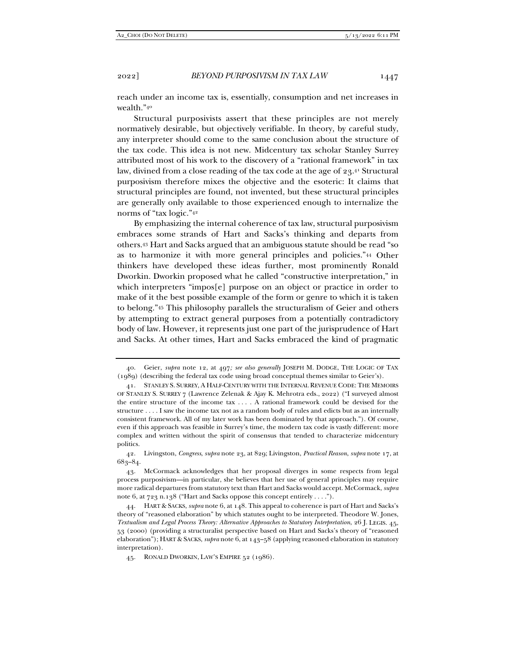reach under an income tax is, essentially, consumption and net increases in wealth."40

Structural purposivists assert that these principles are not merely normatively desirable, but objectively verifiable. In theory, by careful study, any interpreter should come to the same conclusion about the structure of the tax code. This idea is not new. Midcentury tax scholar Stanley Surrey attributed most of his work to the discovery of a "rational framework" in tax law, divined from a close reading of the tax code at the age of 23.41 Structural purposivism therefore mixes the objective and the esoteric: It claims that structural principles are found, not invented, but these structural principles are generally only available to those experienced enough to internalize the norms of "tax logic."42

By emphasizing the internal coherence of tax law, structural purposivism embraces some strands of Hart and Sacks's thinking and departs from others.43 Hart and Sacks argued that an ambiguous statute should be read "so as to harmonize it with more general principles and policies."44 Other thinkers have developed these ideas further, most prominently Ronald Dworkin. Dworkin proposed what he called "constructive interpretation," in which interpreters "impos[e] purpose on an object or practice in order to make of it the best possible example of the form or genre to which it is taken to belong."45 This philosophy parallels the structuralism of Geier and others by attempting to extract general purposes from a potentially contradictory body of law. However, it represents just one part of the jurisprudence of Hart and Sacks. At other times, Hart and Sacks embraced the kind of pragmatic

 <sup>40.</sup> Geier, *supra* note 12, at 497*; see also generally* JOSEPH M. DODGE, THE LOGIC OF TAX (1989) (describing the federal tax code using broad conceptual themes similar to Geier's).

 <sup>41.</sup> STANLEY S. SURREY, A HALF-CENTURY WITH THE INTERNAL REVENUE CODE: THE MEMOIRS OF STANLEY S. SURREY 7 (Lawrence Zelenak & Ajay K. Mehrotra eds., 2022) ("I surveyed almost the entire structure of the income tax . . . . A rational framework could be devised for the structure . . . . I saw the income tax not as a random body of rules and edicts but as an internally consistent framework. All of my later work has been dominated by that approach."). Of course, even if this approach was feasible in Surrey's time, the modern tax code is vastly different: more complex and written without the spirit of consensus that tended to characterize midcentury politics.

 <sup>42.</sup> Livingston, *Congress*, *supra* note 23, at 829; Livingston, *Practical Reason*, *supra* note 17, at 683–84.

 <sup>43.</sup> McCormack acknowledges that her proposal diverges in some respects from legal process purposivism—in particular, she believes that her use of general principles may require more radical departures from statutory text than Hart and Sacks would accept. McCormack, *supra* note 6, at 723 n.138 ("Hart and Sacks oppose this concept entirely . . . .").

 <sup>44.</sup> HART & SACKS, *supra* note 6, at 148. This appeal to coherence is part of Hart and Sacks's theory of "reasoned elaboration" by which statutes ought to be interpreted. Theodore W. Jones, *Textualism and Legal Process Theory: Alternative Approaches to Statutory Interpretation*, 26 J. LEGIS. 45, 53 (2000) (providing a structuralist perspective based on Hart and Sacks's theory of "reasoned elaboration"); HART & SACKS, *supra* note 6, at 143–58 (applying reasoned elaboration in statutory interpretation).

 <sup>45.</sup> RONALD DWORKIN, LAW'S EMPIRE 52 (1986).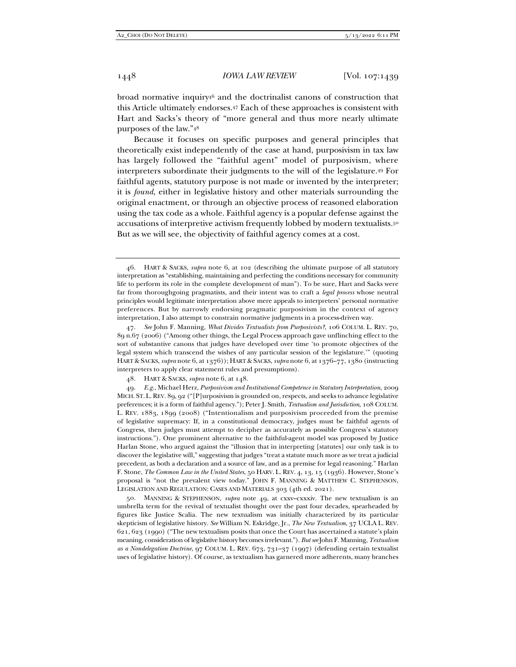broad normative inquiry46 and the doctrinalist canons of construction that this Article ultimately endorses.47 Each of these approaches is consistent with Hart and Sacks's theory of "more general and thus more nearly ultimate purposes of the law."48

Because it focuses on specific purposes and general principles that theoretically exist independently of the case at hand, purposivism in tax law has largely followed the "faithful agent" model of purposivism, where interpreters subordinate their judgments to the will of the legislature.49 For faithful agents, statutory purpose is not made or invented by the interpreter; it is *found*, either in legislative history and other materials surrounding the original enactment, or through an objective process of reasoned elaboration using the tax code as a whole. Faithful agency is a popular defense against the accusations of interpretive activism frequently lobbed by modern textualists.50 But as we will see, the objectivity of faithful agency comes at a cost.

 47. *See* John F. Manning, *What Divides Textualists from Purposivists?*, 106 COLUM. L. REV. 70, 89 n.67 (2006) ("Among other things, the Legal Process approach gave unflinching effect to the sort of substantive canons that judges have developed over time 'to promote objectives of the legal system which transcend the wishes of any particular session of the legislature.'" (quoting HART & SACKS, *supra* note 6, at 1376)); HART & SACKS, *supra* note 6, at 1376–77, 1380 (instructing interpreters to apply clear statement rules and presumptions).

48. HART & SACKS, *supra* note 6, at 148.

49*. E.g.*, Michael Herz, *Purposivism and Institutional Competence in Statutory Interpretation*, 2009 MICH. ST. L. REV. 89, 92 ("[P]urposivism is grounded on, respects, and seeks to advance legislative preferences; it is a form of faithful agency."); Peter J. Smith, *Textualism and Jurisdiction*, 108 COLUM. L. REV. 1883, 1899 (2008) ("Intentionalism and purposivism proceeded from the premise of legislative supremacy: If, in a constitutional democracy, judges must be faithful agents of Congress, then judges must attempt to decipher as accurately as possible Congress's statutory instructions."). One prominent alternative to the faithful-agent model was proposed by Justice Harlan Stone, who argued against the "illusion that in interpreting [statutes] our only task is to discover the legislative will," suggesting that judges "treat a statute much more as we treat a judicial precedent, as both a declaration and a source of law, and as a premise for legal reasoning." Harlan F. Stone, *The Common Law in the United States*, 50 HARV. L. REV. 4, 13, 15 (1936). However, Stone's proposal is "not the prevalent view today." JOHN F. MANNING & MATTHEW C. STEPHENSON, LEGISLATION AND REGULATION: CASES AND MATERIALS 303 (4th ed. 2021).

 50. MANNING & STEPHENSON, *supra* note 49, at cxxv–cxxxiv. The new textualism is an umbrella term for the revival of textualist thought over the past four decades, spearheaded by figures like Justice Scalia. The new textualism was initially characterized by its particular skepticism of legislative history. *See* William N. Eskridge, Jr., *The New Textualism*, 37 UCLA L. REV. 621, 623 (1990) ("The new textualism posits that once the Court has ascertained a statute's plain meaning, consideration of legislative history becomes irrelevant."). *But see* John F. Manning, *Textualism as a Nondelegation Doctrine*, 97 COLUM. L. REV. 673, 731–37 (1997) (defending certain textualist uses of legislative history). Of course, as textualism has garnered more adherents, many branches

 <sup>46.</sup> HART & SACKS, *supra* note 6, at 102 (describing the ultimate purpose of all statutory interpretation as "establishing, maintaining and perfecting the conditions necessary for community life to perform its role in the complete development of man"). To be sure, Hart and Sacks were far from thoroughgoing pragmatists, and their intent was to craft a *legal process* whose neutral principles would legitimate interpretation above mere appeals to interpreters' personal normative preferences. But by narrowly endorsing pragmatic purposivism in the context of agency interpretation, I also attempt to constrain normative judgments in a process-driven way.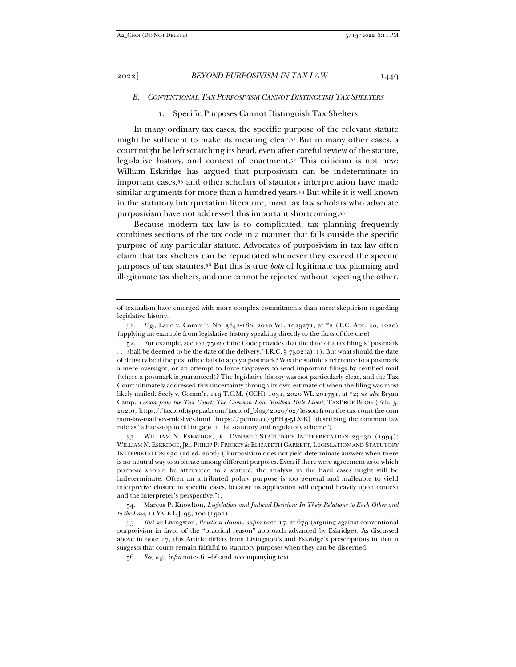## *B. CONVENTIONAL TAX PURPOSIVISM CANNOT DISTINGUISH TAX SHELTERS*

## 1. Specific Purposes Cannot Distinguish Tax Shelters

In many ordinary tax cases, the specific purpose of the relevant statute might be sufficient to make its meaning clear.51 But in many other cases, a court might be left scratching its head, even after careful review of the statute, legislative history, and context of enactment.52 This criticism is not new; William Eskridge has argued that purposivism can be indeterminate in important cases,53 and other scholars of statutory interpretation have made similar arguments for more than a hundred years.54 But while it is well-known in the statutory interpretation literature, most tax law scholars who advocate purposivism have not addressed this important shortcoming.55

Because modern tax law is so complicated, tax planning frequently combines sections of the tax code in a manner that falls outside the specific purpose of any particular statute. Advocates of purposivism in tax law often claim that tax shelters can be repudiated whenever they exceed the specific purposes of tax statutes.56 But this is true *both* of legitimate tax planning and illegitimate tax shelters, and one cannot be rejected without rejecting the other.

 $53.$  WILLIAM N. ESKRIDGE, JR., DYNAMIC STATUTORY INTERPRETATION  $29-30$  (1994); WILLIAM N. ESKRIDGE, JR., PHILIP P. FRICKEY & ELIZABETH GARRETT, LEGISLATION AND STATUTORY INTERPRETATION 230 (2d ed. 2006) ("Purposivism does not yield determinate answers when there is no neutral way to arbitrate among different purposes. Even if there were agreement as to which purpose should be attributed to a statute, the analysis in the hard cases might still be indeterminate. Often an attributed policy purpose is too general and malleable to yield interpretive closure in specific cases, because its application will depend heavily upon context and the interpreter's perspective.").

 54. Marcus P. Knowlton, *Legislation and Judicial Decision: In Their Relations to Each Other and to the Law*, 11 YALE L.J. 95, 100 (1901).

55*. But see* Livingston, *Practical Reason*, *supra* note 17, at 679 (arguing against conventional purposivism in favor of the "practical reason" approach advanced by Eskridge). As discussed above in note 17, this Article differs from Livingston's and Eskridge's prescriptions in that it suggests that courts remain faithful to statutory purposes when they can be discerned.

56*. See, e.g.*, *infra* notes 61–66 and accompanying text.

of textualism have emerged with more complex commitments than mere skepticism regarding legislative history.

<sup>51</sup>*. E.g.*, Laue v. Comm'r, No. 3842-18S, 2020 WL 1929271, at \*2 (T.C. Apr. 20, 2020) (applying an example from legislative history speaking directly to the facts of the case).

 <sup>52.</sup> For example, section 7502 of the Code provides that the date of a tax filing's "postmark ... shall be deemed to be the date of the delivery." I.R.C.  $\S$  7502(a)(1). But what should the date of delivery be if the post office fails to apply a postmark? Was the statute's reference to a postmark a mere oversight, or an attempt to force taxpayers to send important filings by certified mail (where a postmark is guaranteed)? The legislative history was not particularly clear, and the Tax Court ultimately addressed this uncertainty through its own estimate of when the filing was most likely mailed. Seely v. Comm'r, 119 T.C.M. (CCH) 1031, 2020 WL 201751, at \*2; *see also* Bryan Camp, *Lesson from the Tax Court: The Common Law Mailbox Rule Lives!*, TAXPROF BLOG (Feb. 3, 2020), https://taxprof.typepad.com/taxprof\_blog/2020/02/lesson-from-the-tax-court-the-com mon-law-mailbox-rule-lives.html [https://perma.cc/3BH3-5LMK] (describing the common law rule as "a backstop to fill in gaps in the statutory and regulatory scheme").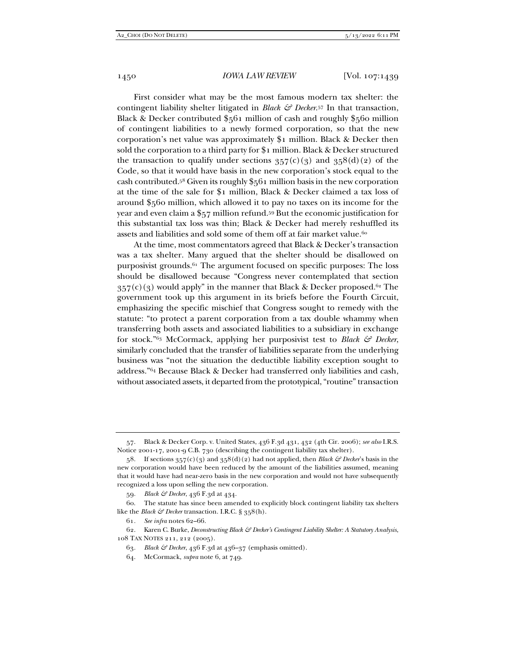First consider what may be the most famous modern tax shelter: the contingent liability shelter litigated in *Black & Decker*.57 In that transaction, Black & Decker contributed \$561 million of cash and roughly \$560 million of contingent liabilities to a newly formed corporation, so that the new corporation's net value was approximately \$1 million. Black & Decker then sold the corporation to a third party for \$1 million. Black & Decker structured the transaction to qualify under sections  $357(c)(3)$  and  $358(d)(2)$  of the Code, so that it would have basis in the new corporation's stock equal to the cash contributed.58 Given its roughly \$561 million basis in the new corporation at the time of the sale for \$1 million, Black & Decker claimed a tax loss of around \$560 million, which allowed it to pay no taxes on its income for the year and even claim a \$57 million refund.59 But the economic justification for this substantial tax loss was thin; Black & Decker had merely reshuffled its assets and liabilities and sold some of them off at fair market value.<sup>60</sup>

At the time, most commentators agreed that Black & Decker's transaction was a tax shelter. Many argued that the shelter should be disallowed on purposivist grounds.61 The argument focused on specific purposes: The loss should be disallowed because "Congress never contemplated that section  $357(c)(3)$  would apply" in the manner that Black & Decker proposed.<sup>62</sup> The government took up this argument in its briefs before the Fourth Circuit, emphasizing the specific mischief that Congress sought to remedy with the statute: "to protect a parent corporation from a tax double whammy when transferring both assets and associated liabilities to a subsidiary in exchange for stock."63 McCormack, applying her purposivist test to *Black & Decker*, similarly concluded that the transfer of liabilities separate from the underlying business was "not the situation the deductible liability exception sought to address."64 Because Black & Decker had transferred only liabilities and cash, without associated assets, it departed from the prototypical, "routine" transaction

59*. Black & Decker*, 436 F.3d at 434.

 <sup>57.</sup> Black & Decker Corp. v. United States, 436 F.3d 431, 432 (4th Cir. 2006); *see also* I.R.S. Notice 2001-17, 2001-9 C.B. 730 (describing the contingent liability tax shelter).

 <sup>58.</sup> If sections 357(c)(3) and 358(d)(2) had not applied, then *Black & Decker*'s basis in the new corporation would have been reduced by the amount of the liabilities assumed, meaning that it would have had near-zero basis in the new corporation and would not have subsequently recognized a loss upon selling the new corporation.

 <sup>60.</sup> The statute has since been amended to explicitly block contingent liability tax shelters like the *Black & Decker* transaction. I.R.C. § 358(h).

<sup>61</sup>*. See infra* notes 62–66.

 <sup>62.</sup> Karen C. Burke, *Deconstructing Black & Decker's Contingent Liability Shelter: A Statutory Analysis*, 108 TAX NOTES 211, 212 (2005).

<sup>63</sup>*. Black & Decker*, 436 F.3d at 436–37 (emphasis omitted).

 <sup>64.</sup> McCormack, *supra* note 6, at 749.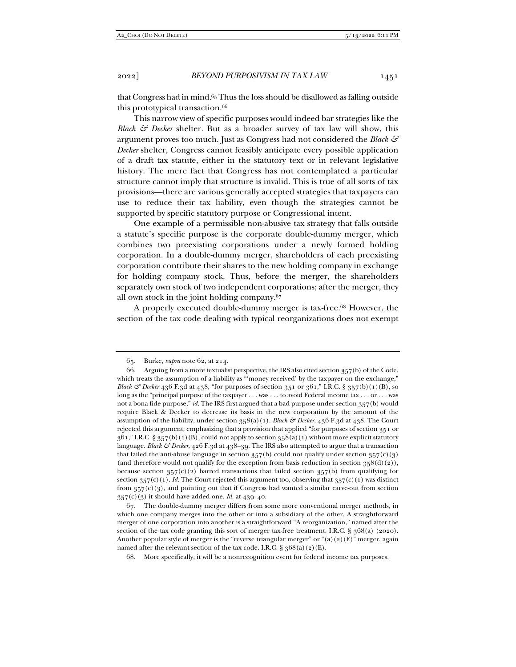that Congress had in mind.65 Thus the loss should be disallowed as falling outside this prototypical transaction.<sup>66</sup>

This narrow view of specific purposes would indeed bar strategies like the *Black & Decker* shelter. But as a broader survey of tax law will show, this argument proves too much. Just as Congress had not considered the *Black & Decker* shelter, Congress cannot feasibly anticipate every possible application of a draft tax statute, either in the statutory text or in relevant legislative history. The mere fact that Congress has not contemplated a particular structure cannot imply that structure is invalid. This is true of all sorts of tax provisions—there are various generally accepted strategies that taxpayers can use to reduce their tax liability, even though the strategies cannot be supported by specific statutory purpose or Congressional intent.

One example of a permissible non-abusive tax strategy that falls outside a statute's specific purpose is the corporate double-dummy merger, which combines two preexisting corporations under a newly formed holding corporation. In a double-dummy merger, shareholders of each preexisting corporation contribute their shares to the new holding company in exchange for holding company stock. Thus, before the merger, the shareholders separately own stock of two independent corporations; after the merger, they all own stock in the joint holding company.67

A properly executed double-dummy merger is tax-free.68 However, the section of the tax code dealing with typical reorganizations does not exempt

 <sup>65.</sup> Burke, *supra* note 62, at 214.

 <sup>66.</sup> Arguing from a more textualist perspective, the IRS also cited section 357(b) of the Code, which treats the assumption of a liability as "'money received' by the taxpayer on the exchange," *Black & Decker* 436 F.3d at 438, "for purposes of section 351 or 361," I.R.C. § 357(b)(1)(B), so long as the "principal purpose of the taxpayer . . . was . . . to avoid Federal income tax . . . or . . . was not a bona fide purpose," *id.* The IRS first argued that a bad purpose under section 357(b) would require Black & Decker to decrease its basis in the new corporation by the amount of the assumption of the liability, under section 358(a)(1). *Black & Decker*, 436 F.3d at 438. The Court rejected this argument, emphasizing that a provision that applied "for purposes of section 351 or  $361$ ," I.R.C. §  $357(b)(1)(B)$ , could not apply to section  $358(a)(1)$  without more explicit statutory language. *Black & Decker*, 426 F.3d at 438–39. The IRS also attempted to argue that a transaction that failed the anti-abuse language in section  $357(b)$  could not qualify under section  $357(c)(3)$ (and therefore would not qualify for the exception from basis reduction in section  $358(d)(2)$ ), because section  $357(c)(2)$  barred transactions that failed section  $357(b)$  from qualifying for section  $357(c)(1)$ . *Id.* The Court rejected this argument too, observing that  $357(c)(1)$  was distinct from  $357(c)(3)$ , and pointing out that if Congress had wanted a similar carve-out from section  $357(c)(3)$  it should have added one. *Id.* at  $439-40$ .

 <sup>67.</sup> The double-dummy merger differs from some more conventional merger methods, in which one company merges into the other or into a subsidiary of the other. A straightforward merger of one corporation into another is a straightforward "A reorganization," named after the section of the tax code granting this sort of merger tax-free treatment. I.R.C.  $\S$   $368(a)$  (2020). Another popular style of merger is the "reverse triangular merger" or " $(a)(2)(E)$ " merger, again named after the relevant section of the tax code. I.R.C.  $\S 368(a)(2)(E)$ .

 <sup>68.</sup> More specifically, it will be a nonrecognition event for federal income tax purposes.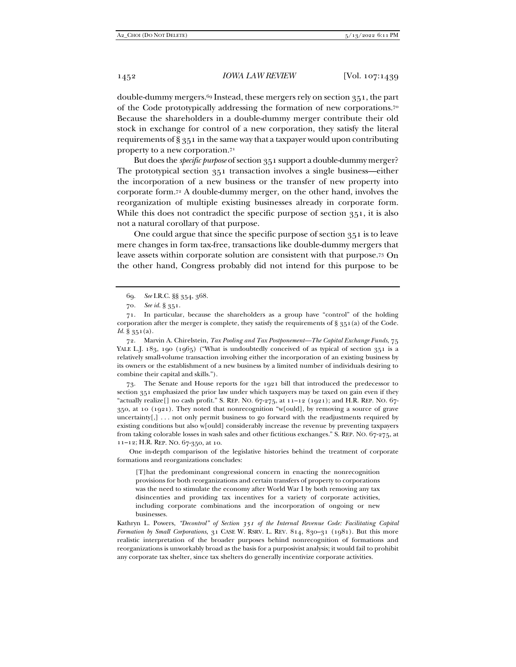double-dummy mergers.69 Instead, these mergers rely on section 351, the part of the Code prototypically addressing the formation of new corporations.70 Because the shareholders in a double-dummy merger contribute their old stock in exchange for control of a new corporation, they satisfy the literal requirements of § 351 in the same way that a taxpayer would upon contributing property to a new corporation.71

But does the *specific purpose* of section 351 support a double-dummy merger? The prototypical section 351 transaction involves a single business—either the incorporation of a new business or the transfer of new property into corporate form.72 A double-dummy merger, on the other hand, involves the reorganization of multiple existing businesses already in corporate form. While this does not contradict the specific purpose of section 351, it is also not a natural corollary of that purpose.

One could argue that since the specific purpose of section 351 is to leave mere changes in form tax-free, transactions like double-dummy mergers that leave assets within corporate solution are consistent with that purpose.73 On the other hand, Congress probably did not intend for this purpose to be

 72. Marvin A. Chirelstein, *Tax Pooling and Tax Postponement—The Capital Exchange Funds*, 75 YALE L.J. 183, 190 (1965) ("What is undoubtedly conceived of as typical of section 351 is a relatively small-volume transaction involving either the incorporation of an existing business by its owners or the establishment of a new business by a limited number of individuals desiring to combine their capital and skills.").

 73. The Senate and House reports for the 1921 bill that introduced the predecessor to section 351 emphasized the prior law under which taxpayers may be taxed on gain even if they "actually realize[] no cash profit." S. REP. NO.  $67-275$ , at  $11-12$  (1921); and H.R. REP. NO.  $67-$ 350, at 10 (1921). They noted that nonrecognition "w[ould], by removing a source of grave uncertainty $[,$  ... not only permit business to go forward with the readjustments required by existing conditions but also w[ould] considerably increase the revenue by preventing taxpayers from taking colorable losses in wash sales and other fictitious exchanges." S. REP. NO. 67-275, at 11–12; H.R. REP. NO. 67-350, at 10.

 One in-depth comparison of the legislative histories behind the treatment of corporate formations and reorganizations concludes:

[T]hat the predominant congressional concern in enacting the nonrecognition provisions for both reorganizations and certain transfers of property to corporations was the need to stimulate the economy after World War I by both removing any tax disincenties and providing tax incentives for a variety of corporate activities, including corporate combinations and the incorporation of ongoing or new businesses.

Kathryn L. Powers, *"Decontrol" of Section 351 of the Internal Revenue Code: Facilitating Capital Formation by Small Corporations*, 31 CASE W. RSRV. L. REV. 814, 830–31 (1981). But this more realistic interpretation of the broader purposes behind nonrecognition of formations and reorganizations is unworkably broad as the basis for a purposivist analysis; it would fail to prohibit any corporate tax shelter, since tax shelters do generally incentivize corporate activities.

 <sup>69.</sup> *See* I.R.C. §§ 354, 368.

<sup>70</sup>*. See id.* § 351.

 <sup>71.</sup> In particular, because the shareholders as a group have "control" of the holding corporation after the merger is complete, they satisfy the requirements of  $\S$  351(a) of the Code. *Id.* § 351(a).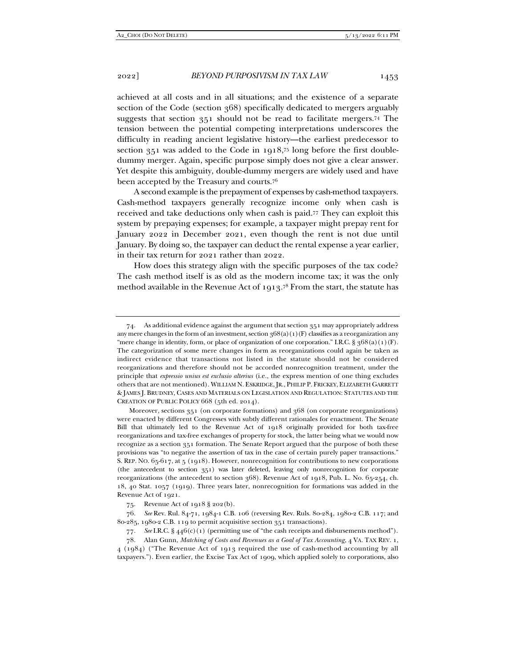achieved at all costs and in all situations; and the existence of a separate section of the Code (section 368) specifically dedicated to mergers arguably suggests that section 351 should not be read to facilitate mergers.74 The tension between the potential competing interpretations underscores the difficulty in reading ancient legislative history—the earliest predecessor to section 351 was added to the Code in 1918,75 long before the first doubledummy merger. Again, specific purpose simply does not give a clear answer. Yet despite this ambiguity, double-dummy mergers are widely used and have been accepted by the Treasury and courts.76

A second example is the prepayment of expenses by cash-method taxpayers. Cash-method taxpayers generally recognize income only when cash is received and take deductions only when cash is paid.77 They can exploit this system by prepaying expenses; for example, a taxpayer might prepay rent for January 2022 in December 2021, even though the rent is not due until January. By doing so, the taxpayer can deduct the rental expense a year earlier, in their tax return for 2021 rather than 2022.

How does this strategy align with the specific purposes of the tax code? The cash method itself is as old as the modern income tax; it was the only method available in the Revenue Act of 1913.78 From the start, the statute has

 Moreover, sections 351 (on corporate formations) and 368 (on corporate reorganizations) were enacted by different Congresses with subtly different rationales for enactment. The Senate Bill that ultimately led to the Revenue Act of 1918 originally provided for both tax-free reorganizations and tax-free exchanges of property for stock, the latter being what we would now recognize as a section 351 formation. The Senate Report argued that the purpose of both these provisions was "to negative the assertion of tax in the case of certain purely paper transactions." S. REP. NO. 65-617, at 5 (1918). However, nonrecognition for contributions to new corporations (the antecedent to section 351) was later deleted, leaving only nonrecognition for corporate reorganizations (the antecedent to section 368). Revenue Act of 1918, Pub. L. No. 65-254, ch. 18, 40 Stat. 1057 (1919). Three years later, nonrecognition for formations was added in the Revenue Act of 1921.

75. Revenue Act of 1918 § 202(b).

 76. *See* Rev. Rul. 84-71, 1984-1 C.B. 106 (reversing Rev. Ruls. 80-284, 1980-2 C.B. 117; and 80-285, 1980-2 C.B. 119 to permit acquisitive section 351 transactions).

77*. See* I.R.C. § 446(c)(1) (permitting use of "the cash receipts and disbursements method").

78. Alan Gunn, *Matching of Costs and Revenues as a Goal of Tax Accounting*, 4 VA. TAX REV. 1,

4 (1984) ("The Revenue Act of 1913 required the use of cash-method accounting by all taxpayers."). Even earlier, the Excise Tax Act of 1909, which applied solely to corporations, also

 <sup>74.</sup> As additional evidence against the argument that section 351 may appropriately address any mere changes in the form of an investment, section  $368(a)(1)(F)$  classifies as a reorganization any "mere change in identity, form, or place of organization of one corporation." I.R.C. §  $368(a)(1)(F)$ . The categorization of some mere changes in form as reorganizations could again be taken as indirect evidence that transactions not listed in the statute should not be considered reorganizations and therefore should not be accorded nonrecognition treatment, under the principle that *expressio unius est exclusio alterius* (i.e., the express mention of one thing excludes others that are not mentioned). WILLIAM N. ESKRIDGE, JR., PHILIP P. FRICKEY, ELIZABETH GARRETT & JAMES J. BRUDNEY, CASES AND MATERIALS ON LEGISLATION AND REGULATION: STATUTES AND THE CREATION OF PUBLIC POLICY 668 (5th ed. 2014).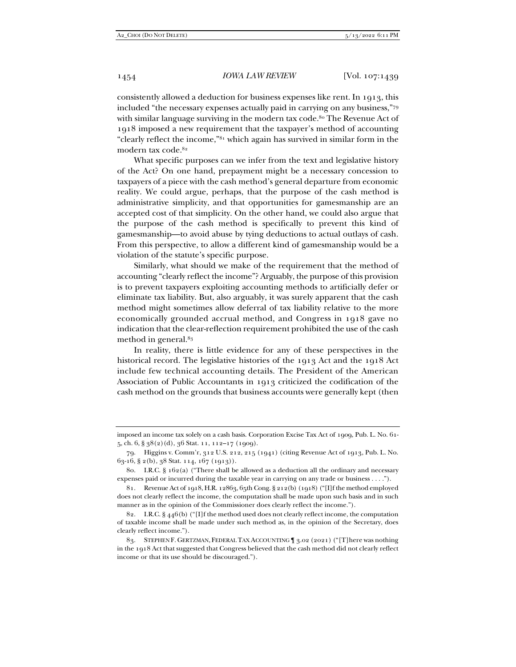consistently allowed a deduction for business expenses like rent. In 1913, this included "the necessary expenses actually paid in carrying on any business,"79 with similar language surviving in the modern tax code.<sup>80</sup> The Revenue Act of 1918 imposed a new requirement that the taxpayer's method of accounting "clearly reflect the income,"81 which again has survived in similar form in the modern tax code.82

What specific purposes can we infer from the text and legislative history of the Act? On one hand, prepayment might be a necessary concession to taxpayers of a piece with the cash method's general departure from economic reality. We could argue, perhaps, that the purpose of the cash method is administrative simplicity, and that opportunities for gamesmanship are an accepted cost of that simplicity. On the other hand, we could also argue that the purpose of the cash method is specifically to prevent this kind of gamesmanship—to avoid abuse by tying deductions to actual outlays of cash. From this perspective, to allow a different kind of gamesmanship would be a violation of the statute's specific purpose.

Similarly, what should we make of the requirement that the method of accounting "clearly reflect the income"? Arguably, the purpose of this provision is to prevent taxpayers exploiting accounting methods to artificially defer or eliminate tax liability. But, also arguably, it was surely apparent that the cash method might sometimes allow deferral of tax liability relative to the more economically grounded accrual method, and Congress in 1918 gave no indication that the clear-reflection requirement prohibited the use of the cash method in general.83

In reality, there is little evidence for any of these perspectives in the historical record. The legislative histories of the 1913 Act and the 1918 Act include few technical accounting details. The President of the American Association of Public Accountants in 1913 criticized the codification of the cash method on the grounds that business accounts were generally kept (then

imposed an income tax solely on a cash basis. Corporation Excise Tax Act of 1909, Pub. L. No. 61- 5, ch. 6, § 38(2)(d), 36 Stat. 11, 112–17 (1909).

 <sup>79.</sup> Higgins v. Comm'r, 312 U.S. 212, 215 (1941) (citing Revenue Act of 1913, Pub. L. No. 63-16, § 2(b), 38 Stat. 114, 167 (1913)).

 <sup>80.</sup> I.R.C. § 162(a) ("There shall be allowed as a deduction all the ordinary and necessary expenses paid or incurred during the taxable year in carrying on any trade or business . . . .").

 <sup>81.</sup> Revenue Act of 1918, H.R. 12863, 65th Cong. § 212(b) (1918) ("[I]f the method employed does not clearly reflect the income, the computation shall be made upon such basis and in such manner as in the opinion of the Commissioner does clearly reflect the income.").

 <sup>82.</sup> I.R.C. § 446(b) ("[I]f the method used does not clearly reflect income, the computation of taxable income shall be made under such method as, in the opinion of the Secretary, does clearly reflect income.").

 <sup>83.</sup> STEPHEN F. GERTZMAN, FEDERAL TAX ACCOUNTING ¶ 3.02 (2021) ("[T]here was nothing in the 1918 Act that suggested that Congress believed that the cash method did not clearly reflect income or that its use should be discouraged.").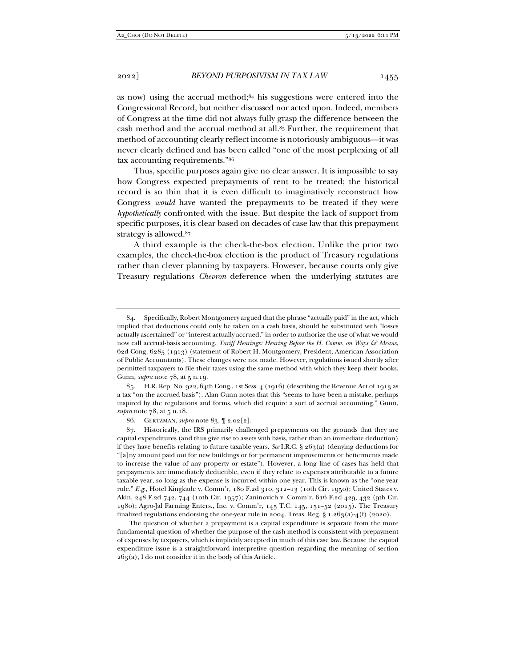as now) using the accrual method;84 his suggestions were entered into the Congressional Record, but neither discussed nor acted upon. Indeed, members of Congress at the time did not always fully grasp the difference between the cash method and the accrual method at all.85 Further, the requirement that method of accounting clearly reflect income is notoriously ambiguous—it was never clearly defined and has been called "one of the most perplexing of all tax accounting requirements."86

Thus, specific purposes again give no clear answer. It is impossible to say how Congress expected prepayments of rent to be treated; the historical record is so thin that it is even difficult to imaginatively reconstruct how Congress *would* have wanted the prepayments to be treated if they were *hypothetically* confronted with the issue. But despite the lack of support from specific purposes, it is clear based on decades of case law that this prepayment strategy is allowed.87

A third example is the check-the-box election. Unlike the prior two examples, the check-the-box election is the product of Treasury regulations rather than clever planning by taxpayers. However, because courts only give Treasury regulations *Chevron* deference when the underlying statutes are

 85. H.R. Rep. No. 922, 64th Cong., 1st Sess. 4 (1916) (describing the Revenue Act of 1913 as a tax "on the accrued basis"). Alan Gunn notes that this "seems to have been a mistake, perhaps inspired by the regulations and forms, which did require a sort of accrual accounting." Gunn, *supra* note 78, at 5 n.18.

86. GERTZMAN, *supra* note 83, ¶ 2.02[2].

 The question of whether a prepayment is a capital expenditure is separate from the more fundamental question of whether the purpose of the cash method is consistent with prepayment of expenses by taxpayers, which is implicitly accepted in much of this case law. Because the capital expenditure issue is a straightforward interpretive question regarding the meaning of section  $263(a)$ , I do not consider it in the body of this Article.

 <sup>84.</sup> Specifically, Robert Montgomery argued that the phrase "actually paid" in the act, which implied that deductions could only be taken on a cash basis, should be substituted with "losses actually ascertained" or "interest actually accrued," in order to authorize the use of what we would now call accrual-basis accounting. *Tariff Hearings: Hearing Before the H. Comm. on Ways & Means*, 62d Cong. 6285 (1913) (statement of Robert H. Montgomery, President, American Association of Public Accountants). These changes were not made. However, regulations issued shortly after permitted taxpayers to file their taxes using the same method with which they keep their books. Gunn, *supra* note 78, at 5 n.19.

 <sup>87.</sup> Historically, the IRS primarily challenged prepayments on the grounds that they are capital expenditures (and thus give rise to assets with basis, rather than an immediate deduction) if they have benefits relating to future taxable years. *See* I.R.C. § 263(a) (denying deductions for "[a]ny amount paid out for new buildings or for permanent improvements or betterments made to increase the value of any property or estate"). However, a long line of cases has held that prepayments are immediately deductible, even if they relate to expenses attributable to a future taxable year, so long as the expense is incurred within one year. This is known as the "one-year rule." *E.g.*, Hotel Kingkade v. Comm'r, 180 F.2d 310, 312–13 (10th Cir. 1950); United States v. Akin, 248 F.2d 742, 744 (10th Cir. 1957); Zaninovich v. Comm'r, 616 F.2d 429, 432 (9th Cir. 1980); Agro-Jal Farming Enters., Inc. v. Comm'r, 145 T.C. 145, 151–52 (2015). The Treasury finalized regulations endorsing the one-year rule in 2004. Treas. Reg. §  $1.263(a)-4(f)$  (2020).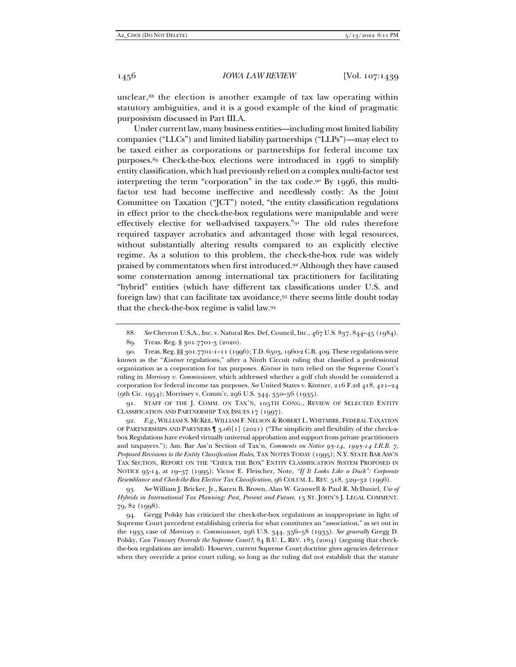unclear,88 the election is another example of tax law operating within statutory ambiguities, and it is a good example of the kind of pragmatic purposivism discussed in Part III.A.

Under current law, many business entities—including most limited liability companies ("LLCs") and limited liability partnerships ("LLPs")—may elect to be taxed either as corporations or partnerships for federal income tax purposes.89 Check-the-box elections were introduced in 1996 to simplify entity classification, which had previously relied on a complex multi-factor test interpreting the term "corporation" in the tax code.90 By 1996, this multifactor test had become ineffective and needlessly costly: As the Joint Committee on Taxation ("JCT") noted, "the entity classification regulations in effect prior to the check-the-box regulations were manipulable and were effectively elective for well-advised taxpayers."91 The old rules therefore required taxpayer acrobatics and advantaged those with legal resources, without substantially altering results compared to an explicitly elective regime. As a solution to this problem, the check-the-box rule was widely praised by commentators when first introduced.92 Although they have caused some consternation among international tax practitioners for facilitating "hybrid" entities (which have different tax classifications under U.S. and foreign law) that can facilitate tax avoidance,93 there seems little doubt today that the check-the-box regime is valid law.94

 91. STAFF OF THE J. COMM. ON TAX'N, 105TH CONG., REVIEW OF SELECTED ENTITY CLASSIFICATION AND PARTNERSHIP TAX ISSUES 17 (1997).

92*. E.g.*, WILLIAM S. MCKEE, WILLIAM F. NELSON & ROBERT L. WHITMIRE, FEDERAL TAXATION OF PARTNERSHIPS AND PARTNERS ¶ 3.06[1] (2021) ("The simplicity and flexibility of the check-abox Regulations have evoked virtually universal approbation and support from private practitioners and taxpayers."); Am. Bar Ass'n Section of Tax'n, *Comments on Notice 95-14, 1995-14 I.R.B. 7, Proposed Revisions to the Entity Classification Rules*, TAX NOTES TODAY (1995); N.Y. STATE BAR ASS'N TAX SECTION, REPORT ON THE "CHECK THE BOX" ENTITY CLASSIFICATION SYSTEM PROPOSED IN NOTICE 95-14, at 19–37 (1995); Victor E. Fleischer, Note, *"If It Looks Like a Duck": Corporate Resemblance and Check-the-Box Elective Tax Classification*, 96 COLUM. L. REV. 518, 529–32 (1996).

93*. See* William J. Bricker, Jr., Karen B. Brown, Alan W. Granwell & Paul R. McDaniel, *Use of Hybrids in International Tax Planning: Past, Present and Future*, 13 ST. JOHN'S J. LEGAL COMMENT. 79, 82 (1998).

 94. Gregg Polsky has criticized the check-the-box regulations as inappropriate in light of Supreme Court precedent establishing criteria for what constitutes an "association," as set out in the 1935 case of *Morrissey v. Commissioner*, 296 U.S. 344, 356–58 (1935). *See generally* Gregg D. Polsky, *Can Treasury Overrule the Supreme Court?*, 84 B.U. L. REV. 185 (2004) (arguing that checkthe-box regulations are invalid). However, current Supreme Court doctrine gives agencies deference when they override a prior court ruling, so long as the ruling did not establish that the statute

<sup>88</sup>*. See* Chevron U.S.A., Inc. v. Natural Res. Def. Council, Inc., 467 U.S. 837, 844–45 (1984).

 <sup>89.</sup> Treas. Reg. § 301.7701-3 (2020).

 <sup>90.</sup> Treas. Reg. §§ 301.7701-1–11 (1996); T.D. 6503, 1960-2 C.B. 409. These regulations were known as the "*Kintner* regulations," after a Ninth Circuit ruling that classified a professional organization as a corporation for tax purposes. *Kintner* in turn relied on the Supreme Court's ruling in *Morrissey v. Commissioner*, which addressed whether a golf club should be considered a corporation for federal income tax purposes. *See* United States v. Kintner, 216 F.2d 418, 421–24 (9th Cir. 1954); Morrissey v. Comm'r, 296 U.S. 344, 350–56 (1935).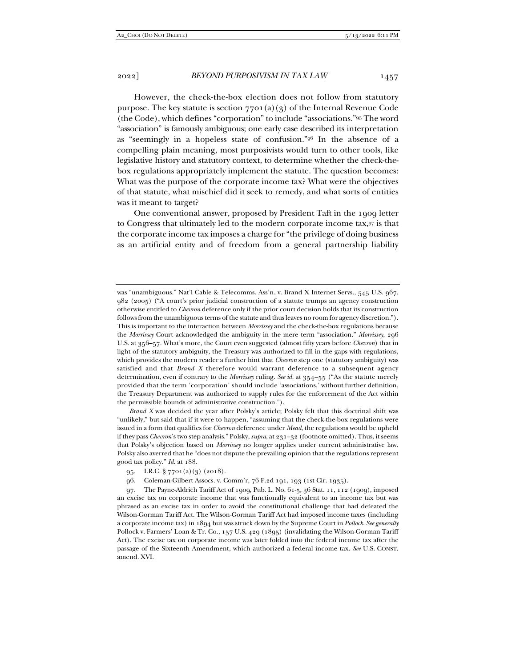However, the check-the-box election does not follow from statutory purpose. The key statute is section  $7701(a)(3)$  of the Internal Revenue Code (the Code), which defines "corporation" to include "associations."95 The word "association" is famously ambiguous; one early case described its interpretation as "seemingly in a hopeless state of confusion."96 In the absence of a compelling plain meaning, most purposivists would turn to other tools, like legislative history and statutory context, to determine whether the check-thebox regulations appropriately implement the statute. The question becomes: What was the purpose of the corporate income tax? What were the objectives of that statute, what mischief did it seek to remedy, and what sorts of entities was it meant to target?

One conventional answer, proposed by President Taft in the 1909 letter to Congress that ultimately led to the modern corporate income tax,97 is that the corporate income tax imposes a charge for "the privilege of doing business as an artificial entity and of freedom from a general partnership liability

 *Brand X* was decided the year after Polsky's article; Polsky felt that this doctrinal shift was "unlikely," but said that if it were to happen, "assuming that the check-the-box regulations were issued in a form that qualifies for *Chevron* deference under *Mead*, the regulations would be upheld if they pass *Chevron*'s two step analysis." Polsky, *supra*, at 231–32 (footnote omitted). Thus, it seems that Polsky's objection based on *Morrissey* no longer applies under current administrative law. Polsky also averred that he "does not dispute the prevailing opinion that the regulations represent good tax policy." *Id.* at 188.

was "unambiguous." Nat'l Cable & Telecomms. Ass'n. v. Brand X Internet Servs., 545 U.S. 967, 982 (2005) ("A court's prior judicial construction of a statute trumps an agency construction otherwise entitled to *Chevron* deference only if the prior court decision holds that its construction follows from the unambiguous terms of the statute and thus leaves no room for agency discretion."). This is important to the interaction between *Morrissey* and the check-the-box regulations because the *Morrissey* Court acknowledged the ambiguity in the mere term "association." *Morrissey*, 296 U.S. at 356–57. What's more, the Court even suggested (almost fifty years before *Chevron*) that in light of the statutory ambiguity, the Treasury was authorized to fill in the gaps with regulations, which provides the modern reader a further hint that *Chevron* step one (statutory ambiguity) was satisfied and that *Brand X* therefore would warrant deference to a subsequent agency determination, even if contrary to the *Morrissey* ruling. *See id.* at 354–55 ("As the statute merely provided that the term 'corporation' should include 'associations,' without further definition, the Treasury Department was authorized to supply rules for the enforcement of the Act within the permissible bounds of administrative construction.").

 <sup>95.</sup> I.R.C. § 7701(a)(3) (2018).

 <sup>96.</sup> Coleman-Gilbert Assocs. v. Comm'r, 76 F.2d 191, 193 (1st Cir. 1935).

 <sup>97.</sup> The Payne-Aldrich Tariff Act of 1909, Pub. L. No. 61-5, 36 Stat. 11, 112 (1909), imposed an excise tax on corporate income that was functionally equivalent to an income tax but was phrased as an excise tax in order to avoid the constitutional challenge that had defeated the Wilson-Gorman Tariff Act. The Wilson-Gorman Tariff Act had imposed income taxes (including a corporate income tax) in 1894 but was struck down by the Supreme Court in *Pollock*. *See generally* Pollock v. Farmers' Loan & Tr. Co., 157 U.S. 429 (1895) (invalidating the Wilson-Gorman Tariff Act). The excise tax on corporate income was later folded into the federal income tax after the passage of the Sixteenth Amendment, which authorized a federal income tax. *See* U.S. CONST. amend. XVI.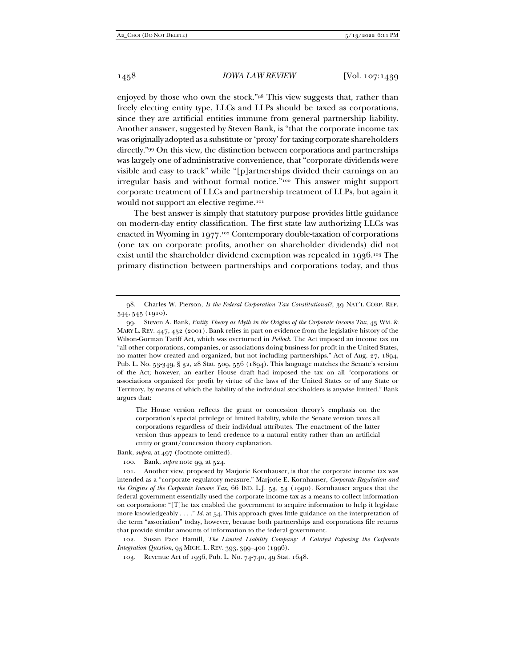enjoyed by those who own the stock."98 This view suggests that, rather than freely electing entity type, LLCs and LLPs should be taxed as corporations, since they are artificial entities immune from general partnership liability. Another answer, suggested by Steven Bank, is "that the corporate income tax was originally adopted as a substitute or 'proxy' for taxing corporate shareholders directly."99 On this view, the distinction between corporations and partnerships was largely one of administrative convenience, that "corporate dividends were visible and easy to track" while "[p]artnerships divided their earnings on an irregular basis and without formal notice."100 This answer might support corporate treatment of LLCs and partnership treatment of LLPs, but again it would not support an elective regime.<sup>101</sup>

The best answer is simply that statutory purpose provides little guidance on modern-day entity classification. The first state law authorizing LLCs was enacted in Wyoming in 1977.102 Contemporary double-taxation of corporations (one tax on corporate profits, another on shareholder dividends) did not exist until the shareholder dividend exemption was repealed in 1936.103 The primary distinction between partnerships and corporations today, and thus

The House version reflects the grant or concession theory's emphasis on the corporation's special privilege of limited liability, while the Senate version taxes all corporations regardless of their individual attributes. The enactment of the latter version thus appears to lend credence to a natural entity rather than an artificial entity or grant/concession theory explanation.

Bank, *supra*, at 497 (footnote omitted).

100. Bank, *supra* note 99, at 524.

 101. Another view, proposed by Marjorie Kornhauser, is that the corporate income tax was intended as a "corporate regulatory measure." Marjorie E. Kornhauser, *Corporate Regulation and the Origins of the Corporate Income Tax*, 66 IND. L.J. 53, 53 (1990). Kornhauser argues that the federal government essentially used the corporate income tax as a means to collect information on corporations: "[T]he tax enabled the government to acquire information to help it legislate more knowledgeably . . . ." *Id.* at 54. This approach gives little guidance on the interpretation of the term "association" today, however, because both partnerships and corporations file returns that provide similar amounts of information to the federal government.

 102. Susan Pace Hamill, *The Limited Liability Company: A Catalyst Exposing the Corporate Integration Question*, 95 MICH. L. REV. 393, 399–400 (1996).

103. Revenue Act of 1936, Pub. L. No. 74-740, 49 Stat. 1648.

 <sup>98.</sup> Charles W. Pierson, *Is the Federal Corporation Tax Constitutional?*, 39 NAT'L CORP. REP. 544, 545 (1910).

 <sup>99.</sup> Steven A. Bank, *Entity Theory as Myth in the Origins of the Corporate Income Tax*, 43 WM. & MARY L. REV. 447, 452 (2001). Bank relies in part on evidence from the legislative history of the Wilson-Gorman Tariff Act, which was overturned in *Pollock*. The Act imposed an income tax on "all other corporations, companies, or associations doing business for profit in the United States, no matter how created and organized, but not including partnerships." Act of Aug. 27, 1894, Pub. L. No. 53-349, § 32, 28 Stat. 509, 556 (1894). This language matches the Senate's version of the Act; however, an earlier House draft had imposed the tax on all "corporations or associations organized for profit by virtue of the laws of the United States or of any State or Territory, by means of which the liability of the individual stockholders is anywise limited." Bank argues that: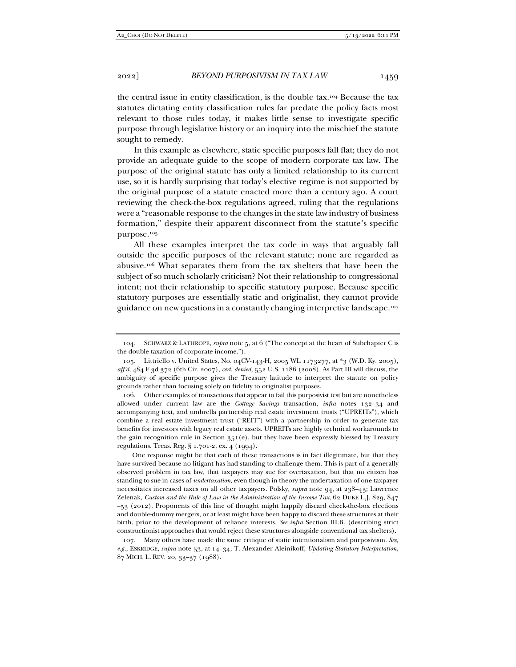the central issue in entity classification, is the double tax.104 Because the tax statutes dictating entity classification rules far predate the policy facts most relevant to those rules today, it makes little sense to investigate specific purpose through legislative history or an inquiry into the mischief the statute sought to remedy.

In this example as elsewhere, static specific purposes fall flat; they do not provide an adequate guide to the scope of modern corporate tax law. The purpose of the original statute has only a limited relationship to its current use, so it is hardly surprising that today's elective regime is not supported by the original purpose of a statute enacted more than a century ago. A court reviewing the check-the-box regulations agreed, ruling that the regulations were a "reasonable response to the changes in the state law industry of business formation," despite their apparent disconnect from the statute's specific purpose.105

All these examples interpret the tax code in ways that arguably fall outside the specific purposes of the relevant statute; none are regarded as abusive.106 What separates them from the tax shelters that have been the subject of so much scholarly criticism? Not their relationship to congressional intent; not their relationship to specific statutory purpose. Because specific statutory purposes are essentially static and originalist, they cannot provide guidance on new questions in a constantly changing interpretive landscape.107

 106. Other examples of transactions that appear to fail this purposivist test but are nonetheless allowed under current law are the *Cottage Savings* transaction, *infra* notes 132–34 and accompanying text, and umbrella partnership real estate investment trusts ("UPREITs"), which combine a real estate investment trust ("REIT") with a partnership in order to generate tax benefits for investors with legacy real estate assets. UPREITs are highly technical workarounds to the gain recognition rule in Section  $351(e)$ , but they have been expressly blessed by Treasury regulations. Treas. Reg. § 1.701-2, ex. 4 (1994).

One response might be that each of these transactions is in fact illegitimate, but that they have survived because no litigant has had standing to challenge them. This is part of a generally observed problem in tax law, that taxpayers may sue for overtaxation, but that no citizen has standing to sue in cases of *undertaxation*, even though in theory the undertaxation of one taxpayer necessitates increased taxes on all other taxpayers. Polsky, *supra* note 94, at 238–43; Lawrence Zelenak, *Custom and the Rule of Law in the Administration of the Income Tax*, 62 DUKE L.J. 829, 847 –53 (2012). Proponents of this line of thought might happily discard check-the-box elections and double-dummy mergers, or at least might have been happy to discard these structures at their birth, prior to the development of reliance interests. *See infra* Section III.B. (describing strict constructionist approaches that would reject these structures alongside conventional tax shelters).

 107. Many others have made the same critique of static intentionalism and purposivism. *See, e.g.*, ESKRIDGE, *supra* note 53, at 14–34; T. Alexander Aleinikoff, *Updating Statutory Interpretation*, 87 MICH. L. REV. 20, 33–37 (1988).

 <sup>104.</sup> SCHWARZ & LATHROPE, *supra* note 5, at 6 ("The concept at the heart of Subchapter C is the double taxation of corporate income.").

 <sup>105.</sup> Littriello v. United States, No. 04CV-143-H, 2005 WL 1173277, at \*3 (W.D. Ky. 2005), *aff'd*, 484 F.3d 372 (6th Cir. 2007), *cert. denied*, 552 U.S. 1186 (2008). As Part III will discuss, the ambiguity of specific purpose gives the Treasury latitude to interpret the statute on policy grounds rather than focusing solely on fidelity to originalist purposes.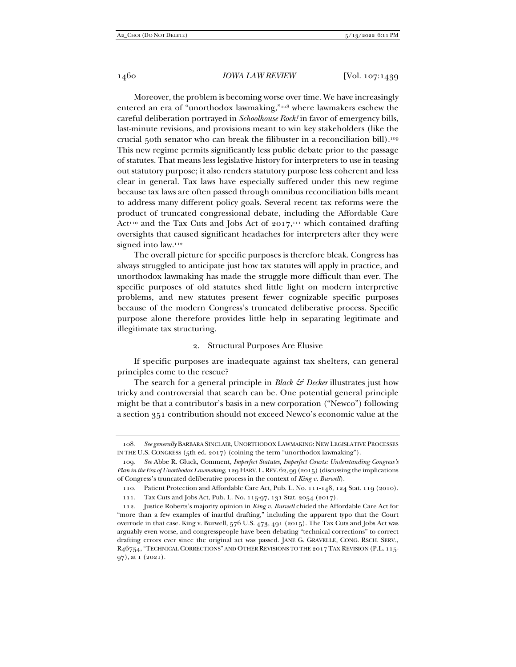Moreover, the problem is becoming worse over time. We have increasingly entered an era of "unorthodox lawmaking,"108 where lawmakers eschew the careful deliberation portrayed in *Schoolhouse Rock!* in favor of emergency bills, last-minute revisions, and provisions meant to win key stakeholders (like the crucial 50th senator who can break the filibuster in a reconciliation bill).109 This new regime permits significantly less public debate prior to the passage of statutes. That means less legislative history for interpreters to use in teasing out statutory purpose; it also renders statutory purpose less coherent and less clear in general. Tax laws have especially suffered under this new regime because tax laws are often passed through omnibus reconciliation bills meant to address many different policy goals. Several recent tax reforms were the product of truncated congressional debate, including the Affordable Care Act<sup>110</sup> and the Tax Cuts and Jobs Act of  $2017$ ,<sup>111</sup> which contained drafting oversights that caused significant headaches for interpreters after they were signed into law.<sup>112</sup>

The overall picture for specific purposes is therefore bleak. Congress has always struggled to anticipate just how tax statutes will apply in practice, and unorthodox lawmaking has made the struggle more difficult than ever. The specific purposes of old statutes shed little light on modern interpretive problems, and new statutes present fewer cognizable specific purposes because of the modern Congress's truncated deliberative process. Specific purpose alone therefore provides little help in separating legitimate and illegitimate tax structuring.

# 2. Structural Purposes Are Elusive

If specific purposes are inadequate against tax shelters, can general principles come to the rescue?

The search for a general principle in *Black & Decker* illustrates just how tricky and controversial that search can be. One potential general principle might be that a contributor's basis in a new corporation ("Newco") following a section 351 contribution should not exceed Newco's economic value at the

<sup>108</sup>*. See generally* BARBARA SINCLAIR, UNORTHODOX LAWMAKING: NEW LEGISLATIVE PROCESSES IN THE U.S. CONGRESS (5th ed. 2017) (coining the term "unorthodox lawmaking").

<sup>109</sup>*. See* Abbe R. Gluck, Comment, *Imperfect Statutes, Imperfect Courts: Understanding Congress's Plan in the Era of Unorthodox Lawmaking*, 129 HARV.L.REV. 62, 99 (2015) (discussing the implications of Congress's truncated deliberative process in the context of *King v. Burwell*).

 <sup>110.</sup> Patient Protection and Affordable Care Act, Pub. L. No. 111-148, 124 Stat. 119 (2010).

 <sup>111.</sup> Tax Cuts and Jobs Act, Pub. L. No. 115-97, 131 Stat. 2054 (2017).

 <sup>112.</sup> Justice Roberts's majority opinion in *King v. Burwell* chided the Affordable Care Act for "more than a few examples of inartful drafting," including the apparent typo that the Court overrode in that case. King v. Burwell, 576 U.S. 473, 491 (2015). The Tax Cuts and Jobs Act was arguably even worse, and congresspeople have been debating "technical corrections" to correct drafting errors ever since the original act was passed. JANE G. GRAVELLE, CONG. RSCH. SERV., R46754, "TECHNICAL CORRECTIONS" AND OTHER REVISIONS TO THE 2017 TAX REVISION (P.L. 115- 97), at 1 (2021).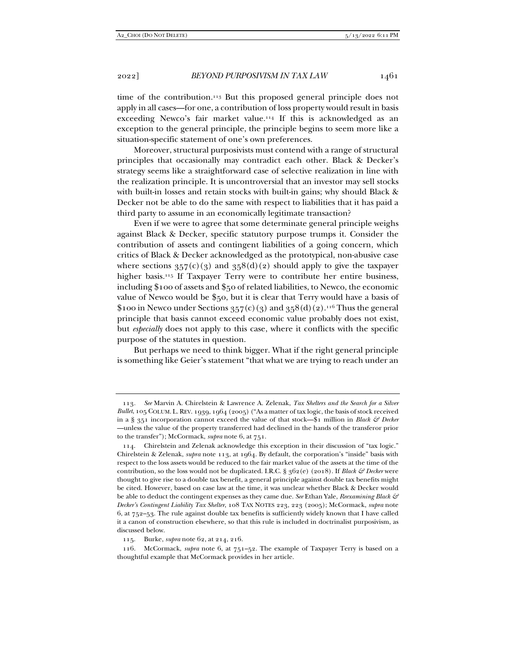time of the contribution.113 But this proposed general principle does not apply in all cases—for one, a contribution of loss property would result in basis exceeding Newco's fair market value.<sup>114</sup> If this is acknowledged as an exception to the general principle, the principle begins to seem more like a situation-specific statement of one's own preferences.

Moreover, structural purposivists must contend with a range of structural principles that occasionally may contradict each other. Black & Decker's strategy seems like a straightforward case of selective realization in line with the realization principle. It is uncontroversial that an investor may sell stocks with built-in losses and retain stocks with built-in gains; why should Black & Decker not be able to do the same with respect to liabilities that it has paid a third party to assume in an economically legitimate transaction?

Even if we were to agree that some determinate general principle weighs against Black & Decker, specific statutory purpose trumps it. Consider the contribution of assets and contingent liabilities of a going concern, which critics of Black & Decker acknowledged as the prototypical, non-abusive case where sections  $357(c)(3)$  and  $358(d)(2)$  should apply to give the taxpayer higher basis.<sup>115</sup> If Taxpayer Terry were to contribute her entire business, including \$100 of assets and \$50 of related liabilities, to Newco, the economic value of Newco would be \$50, but it is clear that Terry would have a basis of \$100 in Newco under Sections  $357(c)(3)$  and  $358(d)(2)$ .<sup>116</sup> Thus the general principle that basis cannot exceed economic value probably does not exist, but *especially* does not apply to this case, where it conflicts with the specific purpose of the statutes in question.

But perhaps we need to think bigger. What if the right general principle is something like Geier's statement "that what we are trying to reach under an

<sup>113</sup>*. See* Marvin A. Chirelstein & Lawrence A. Zelenak, *Tax Shelters and the Search for a Silver Bullet*, 105 COLUM. L.REV. 1939, 1964 (2005) ("As a matter of tax logic, the basis of stock received in a § 351 incorporation cannot exceed the value of that stock—\$1 million in *Black & Decker* —unless the value of the property transferred had declined in the hands of the transferor prior to the transfer"); McCormack, *supra* note 6, at 751.

 <sup>114.</sup> Chirelstein and Zelenak acknowledge this exception in their discussion of "tax logic." Chirelstein & Zelenak, *supra* note 113, at 1964. By default, the corporation's "inside" basis with respect to the loss assets would be reduced to the fair market value of the assets at the time of the contribution, so the loss would not be duplicated. I.R.C. §  $362(e)$  (2018). If *Black & Decker* were thought to give rise to a double tax benefit, a general principle against double tax benefits might be cited. However, based on case law at the time, it was unclear whether Black & Decker would be able to deduct the contingent expenses as they came due. *See* Ethan Yale, *Reexamining Black & Decker's Contingent Liability Tax Shelter*, 108 TAX NOTES 223, 223 (2005); McCormack, *supra* note 6, at  $752-53$ . The rule against double tax benefits is sufficiently widely known that I have called it a canon of construction elsewhere, so that this rule is included in doctrinalist purposivism, as discussed below.

 <sup>115.</sup> Burke, *supra* note 62, at 214, 216.

 <sup>116.</sup> McCormack, *supra* note 6, at 751–52. The example of Taxpayer Terry is based on a thoughtful example that McCormack provides in her article.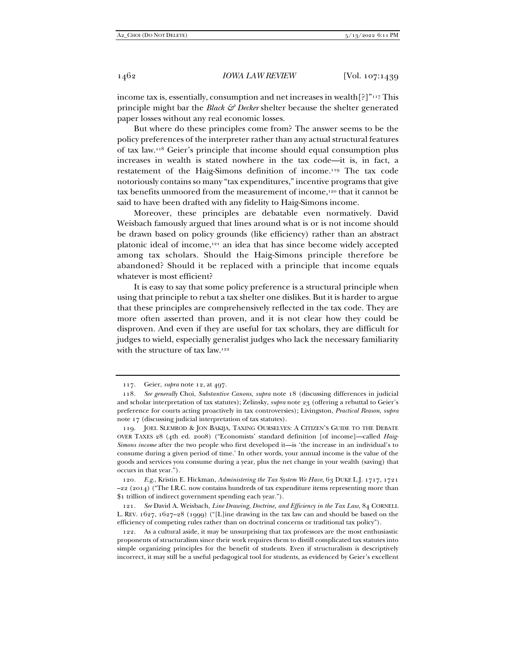income tax is, essentially, consumption and net increases in wealth $[?]$ "<sup>117</sup> This principle might bar the *Black & Decker* shelter because the shelter generated paper losses without any real economic losses.

But where do these principles come from? The answer seems to be the policy preferences of the interpreter rather than any actual structural features of tax law.118 Geier's principle that income should equal consumption plus increases in wealth is stated nowhere in the tax code—it is, in fact, a restatement of the Haig-Simons definition of income.119 The tax code notoriously contains so many "tax expenditures," incentive programs that give tax benefits unmoored from the measurement of income,120 that it cannot be said to have been drafted with any fidelity to Haig-Simons income.

Moreover, these principles are debatable even normatively. David Weisbach famously argued that lines around what is or is not income should be drawn based on policy grounds (like efficiency) rather than an abstract platonic ideal of income,121 an idea that has since become widely accepted among tax scholars. Should the Haig-Simons principle therefore be abandoned? Should it be replaced with a principle that income equals whatever is most efficient?

It is easy to say that some policy preference is a structural principle when using that principle to rebut a tax shelter one dislikes. But it is harder to argue that these principles are comprehensively reflected in the tax code. They are more often asserted than proven, and it is not clear how they could be disproven. And even if they are useful for tax scholars, they are difficult for judges to wield, especially generalist judges who lack the necessary familiarity with the structure of tax law.<sup>122</sup>

 <sup>117.</sup> Geier, *supra* note 12, at 497.

<sup>118</sup>*. See generally* Choi, *Substantive Canons*, *supra* note 18 (discussing differences in judicial and scholar interpretation of tax statutes); Zelinsky, *supra* note 23 (offering a rebuttal to Geier's preference for courts acting proactively in tax controversies); Livingston, *Practical Reason*, *supra* note 17 (discussing judicial interpretation of tax statutes).

 <sup>119.</sup> JOEL SLEMROD & JON BAKIJA, TAXING OURSELVES: A CITIZEN'S GUIDE TO THE DEBATE OVER TAXES 28 (4th ed. 2008) ("Economists' standard definition [of income]—called *Haig-Simons income* after the two people who first developed it—is 'the increase in an individual's to consume during a given period of time.' In other words, your annual income is the value of the goods and services you consume during a year, plus the net change in your wealth (saving) that occurs in that year.").

<sup>120</sup>*. E.g.*, Kristin E. Hickman, *Administering the Tax System We Have*, 63 DUKE L.J. 1717, 1721  $-22$  (2014) ("The I.R.C. now contains hundreds of tax expenditure items representing more than \$1 trillion of indirect government spending each year.").

<sup>121</sup>*. See* David A. Weisbach, *Line Drawing, Doctrine, and Efficiency in the Tax Law*, 84 CORNELL L. REV. 1627, 1627–28 (1999) ("[L]ine drawing in the tax law can and should be based on the efficiency of competing rules rather than on doctrinal concerns or traditional tax policy").

 <sup>122.</sup> As a cultural aside, it may be unsurprising that tax professors are the most enthusiastic proponents of structuralism since their work requires them to distill complicated tax statutes into simple organizing principles for the benefit of students. Even if structuralism is descriptively incorrect, it may still be a useful pedagogical tool for students, as evidenced by Geier's excellent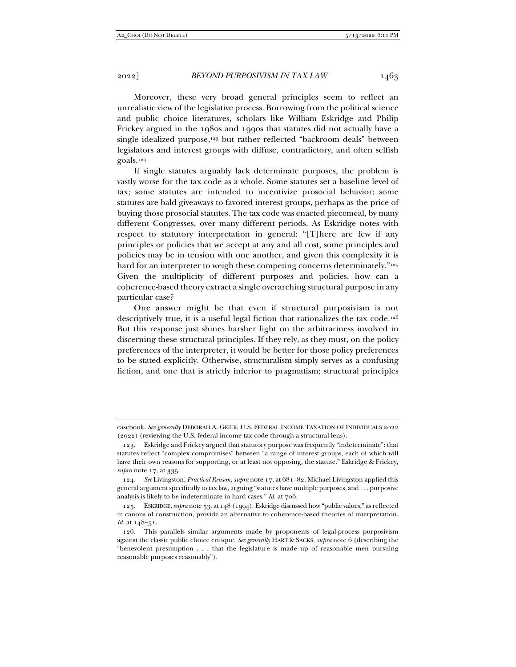Moreover, these very broad general principles seem to reflect an unrealistic view of the legislative process. Borrowing from the political science and public choice literatures, scholars like William Eskridge and Philip Frickey argued in the 1980s and 1990s that statutes did not actually have a single idealized purpose,<sup>123</sup> but rather reflected "backroom deals" between legislators and interest groups with diffuse, contradictory, and often selfish goals.124

If single statutes arguably lack determinate purposes, the problem is vastly worse for the tax code as a whole. Some statutes set a baseline level of tax; some statutes are intended to incentivize prosocial behavior; some statutes are bald giveaways to favored interest groups, perhaps as the price of buying those prosocial statutes. The tax code was enacted piecemeal, by many different Congresses, over many different periods. As Eskridge notes with respect to statutory interpretation in general: "[T]here are few if any principles or policies that we accept at any and all cost, some principles and policies may be in tension with one another, and given this complexity it is hard for an interpreter to weigh these competing concerns determinately."<sup>125</sup> Given the multiplicity of different purposes and policies, how can a coherence-based theory extract a single overarching structural purpose in any particular case?

One answer might be that even if structural purposivism is not descriptively true, it is a useful legal fiction that rationalizes the tax code.126 But this response just shines harsher light on the arbitrariness involved in discerning these structural principles. If they rely, as they must, on the policy preferences of the interpreter, it would be better for those policy preferences to be stated explicitly. Otherwise, structuralism simply serves as a confusing fiction, and one that is strictly inferior to pragmatism; structural principles

casebook. *See generally* DEBORAH A. GEIER, U.S. FEDERAL INCOME TAXATION OF INDIVIDUALS 2022 (2022) (reviewing the U.S. federal income tax code through a structural lens).

 <sup>123.</sup> Eskridge and Frickey argued that statutory purpose was frequently "indeterminate": that statutes reflect "complex compromises" between "a range of interest groups, each of which will have their own reasons for supporting, or at least not opposing, the statute." Eskridge & Frickey, *supra* note 17, at 335.

<sup>124</sup>*. See* Livingston, *Practical Reason*, *supra* note 17, at 681–82. Michael Livingston applied this general argument specifically to tax law, arguing "statutes have multiple purposes, and . . . purposive analysis is likely to be indeterminate in hard cases." *Id.* at 706.

 <sup>125.</sup> ESKRIDGE,*supra* note 53, at 148 (1994). Eskridge discussed how "public values," as reflected in canons of construction, provide an alternative to coherence-based theories of interpretation. *Id.* at 148–51.

 <sup>126.</sup> This parallels similar arguments made by proponents of legal-process purposivism against the classic public choice critique. *See generally* HART & SACKS, *supra* note 6 (describing the "benevolent presumption . . . that the legislature is made up of reasonable men pursuing reasonable purposes reasonably").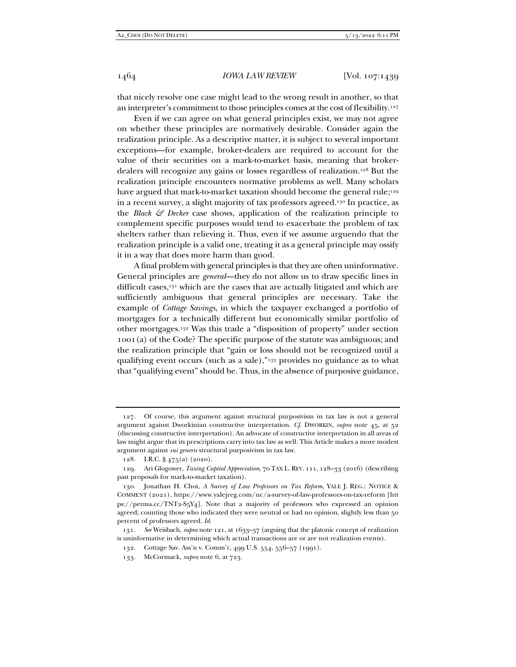that nicely resolve one case might lead to the wrong result in another, so that an interpreter's commitment to those principles comes at the cost of flexibility.127

Even if we can agree on what general principles exist, we may not agree on whether these principles are normatively desirable. Consider again the realization principle. As a descriptive matter, it is subject to several important exceptions—for example, broker-dealers are required to account for the value of their securities on a mark-to-market basis, meaning that brokerdealers will recognize any gains or losses regardless of realization.128 But the realization principle encounters normative problems as well. Many scholars have argued that mark-to-market taxation should become the general rule;<sup>129</sup> in a recent survey, a slight majority of tax professors agreed.130 In practice, as the *Black & Decker* case shows, application of the realization principle to complement specific purposes would tend to exacerbate the problem of tax shelters rather than relieving it. Thus, even if we assume arguendo that the realization principle is a valid one, treating it as a general principle may ossify it in a way that does more harm than good.

A final problem with general principles is that they are often uninformative. General principles are *general*—they do not allow us to draw specific lines in difficult cases,<sup>131</sup> which are the cases that are actually litigated and which are sufficiently ambiguous that general principles are necessary. Take the example of *Cottage Savings*, in which the taxpayer exchanged a portfolio of mortgages for a technically different but economically similar portfolio of other mortgages.132 Was this trade a "disposition of property" under section 1001(a) of the Code? The specific purpose of the statute was ambiguous; and the realization principle that "gain or loss should not be recognized until a qualifying event occurs (such as a sale),"133 provides no guidance as to what that "qualifying event" should be. Thus, in the absence of purposive guidance,

 <sup>127.</sup> Of course, this argument against structural purposivism in tax law is not a general argument against Dworkinian constructive interpretation. *Cf*. DWORKIN, *supra* note 45, at 52 (discussing constructive interpretation). An advocate of constructive interpretation in all areas of law might argue that its prescriptions carry into tax law as well. This Article makes a more modest argument against *sui generis* structural purposivism in tax law.

 <sup>128.</sup> I.R.C. § 475(a) (2020).

 <sup>129.</sup> Ari Glogower, *Taxing Capital Appreciation*, 70 TAX L. REV. 111, 128–33 (2016) (describing past proposals for mark-to-market taxation).

 <sup>130.</sup> Jonathan H. Choi, *A Survey of Law Professors on Tax Reform*, YALE J. REG.: NOTICE & COMMENT (2021), https://www.yalejreg.com/nc/a-survey-of-law-professors-on-tax-reform [htt  $ps://perm.ac/TNT2-S<sub>5</sub>Y<sub>4</sub>]$ . Note that a majority of professors who expressed an opinion agreed; counting those who indicated they were neutral or had no opinion, slightly less than 50 percent of professors agreed. *Id.* 

<sup>131</sup>*. See* Weisbach, *supra* note 121, at 1633–37 (arguing that the platonic concept of realization is uninformative in determining which actual transactions are or are not realization events).

 <sup>132.</sup> Cottage Sav. Ass'n v. Comm'r, 499 U.S. 554, 556–57 (1991).

 <sup>133.</sup> McCormack, *supra* note 6, at 723.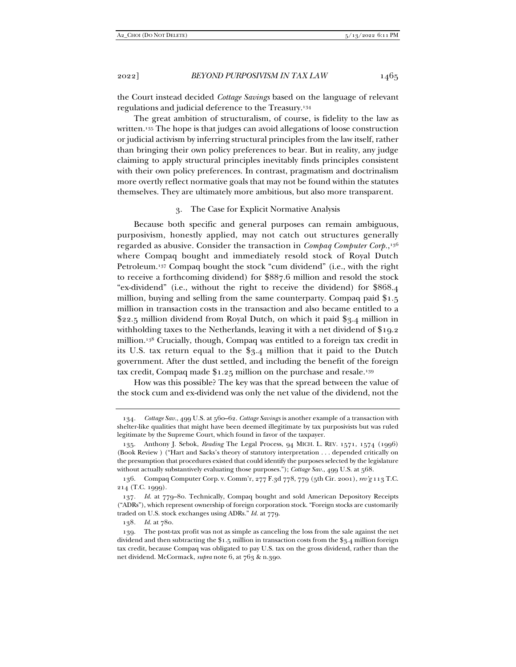the Court instead decided *Cottage Savings* based on the language of relevant regulations and judicial deference to the Treasury.134

The great ambition of structuralism, of course, is fidelity to the law as written.135 The hope is that judges can avoid allegations of loose construction or judicial activism by inferring structural principles from the law itself, rather than bringing their own policy preferences to bear. But in reality, any judge claiming to apply structural principles inevitably finds principles consistent with their own policy preferences. In contrast, pragmatism and doctrinalism more overtly reflect normative goals that may not be found within the statutes themselves. They are ultimately more ambitious, but also more transparent.

#### 3. The Case for Explicit Normative Analysis

Because both specific and general purposes can remain ambiguous, purposivism, honestly applied, may not catch out structures generally regarded as abusive. Consider the transaction in *Compaq Computer Corp.*,136 where Compaq bought and immediately resold stock of Royal Dutch Petroleum.137 Compaq bought the stock "cum dividend" (i.e., with the right to receive a forthcoming dividend) for \$887.6 million and resold the stock "ex-dividend" (i.e., without the right to receive the dividend) for \$868.4 million, buying and selling from the same counterparty. Compaq paid \$1.5 million in transaction costs in the transaction and also became entitled to a \$22.5 million dividend from Royal Dutch, on which it paid \$3.4 million in withholding taxes to the Netherlands, leaving it with a net dividend of \$19.2 million.138 Crucially, though, Compaq was entitled to a foreign tax credit in its U.S. tax return equal to the \$3.4 million that it paid to the Dutch government. After the dust settled, and including the benefit of the foreign tax credit, Compaq made  $1.25$  million on the purchase and resale.<sup>139</sup>

How was this possible? The key was that the spread between the value of the stock cum and ex-dividend was only the net value of the dividend, not the

<sup>134</sup>*. Cottage Sav.*, 499 U.S. at 560–62. *Cottage Savings* is another example of a transaction with shelter-like qualities that might have been deemed illegitimate by tax purposivists but was ruled legitimate by the Supreme Court, which found in favor of the taxpayer.

 <sup>135.</sup> Anthony J. Sebok, *Reading* The Legal Process, 94 MICH. L. REV. 1571, 1574 (1996) (Book Review ) ("Hart and Sacks's theory of statutory interpretation . . . depended critically on the presumption that procedures existed that could identify the purposes selected by the legislature without actually substantively evaluating those purposes."); *Cottage Sav.*, 499 U.S. at 568.

 <sup>136.</sup> Compaq Computer Corp. v. Comm'r, 277 F.3d 778, 779 (5th Cir. 2001), *rev'g* 113 T.C. 214 (T.C. 1999).

<sup>137</sup>*. Id.* at 779–80. Technically, Compaq bought and sold American Depository Receipts ("ADRs"), which represent ownership of foreign corporation stock. "Foreign stocks are customarily traded on U.S. stock exchanges using ADRs." *Id.* at 779.

<sup>138</sup>*. Id.* at 780.

 <sup>139.</sup> The post-tax profit was not as simple as canceling the loss from the sale against the net dividend and then subtracting the \$1.5 million in transaction costs from the \$3.4 million foreign tax credit, because Compaq was obligated to pay U.S. tax on the gross dividend, rather than the net dividend. McCormack, *supra* note 6, at 763 & n.390.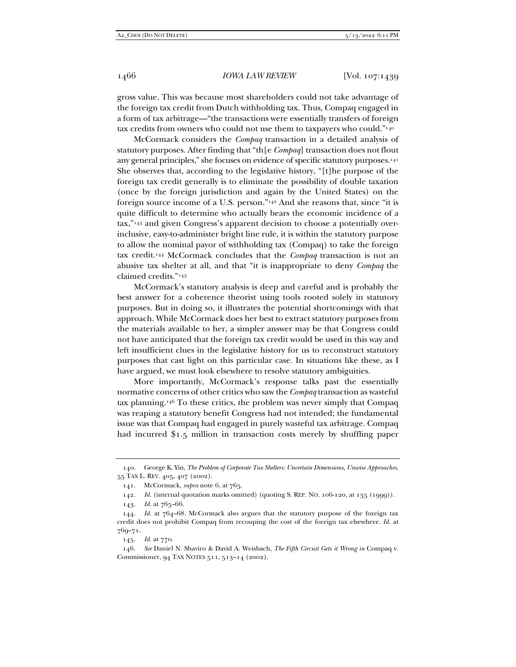gross value. This was because most shareholders could not take advantage of the foreign tax credit from Dutch withholding tax. Thus, Compaq engaged in a form of tax arbitrage—"the transactions were essentially transfers of foreign tax credits from owners who could not use them to taxpayers who could."140

McCormack considers the *Compaq* transaction in a detailed analysis of statutory purposes. After finding that "th[e *Compaq*] transaction does not flout any general principles," she focuses on evidence of specific statutory purposes.141 She observes that, according to the legislative history, "[t]he purpose of the foreign tax credit generally is to eliminate the possibility of double taxation (once by the foreign jurisdiction and again by the United States) on the foreign source income of a U.S. person."142 And she reasons that, since "it is quite difficult to determine who actually bears the economic incidence of a tax,"143 and given Congress's apparent decision to choose a potentially overinclusive, easy-to-administer bright line rule, it is within the statutory purpose to allow the nominal payor of withholding tax (Compaq) to take the foreign tax credit.144 McCormack concludes that the *Compaq* transaction is not an abusive tax shelter at all, and that "it is inappropriate to deny *Compaq* the claimed credits."145

McCormack's statutory analysis is deep and careful and is probably the best answer for a coherence theorist using tools rooted solely in statutory purposes. But in doing so, it illustrates the potential shortcomings with that approach. While McCormack does her best to extract statutory purposes from the materials available to her, a simpler answer may be that Congress could not have anticipated that the foreign tax credit would be used in this way and left insufficient clues in the legislative history for us to reconstruct statutory purposes that cast light on this particular case. In situations like these, as I have argued, we must look elsewhere to resolve statutory ambiguities.

More importantly, McCormack's response talks past the essentially normative concerns of other critics who saw the *Compaq* transaction as wasteful tax planning.146 To these critics, the problem was never simply that Compaq was reaping a statutory benefit Congress had not intended; the fundamental issue was that Compaq had engaged in purely wasteful tax arbitrage. Compaq had incurred \$1.5 million in transaction costs merely by shuffling paper

145*. Id.* at 770.

146*. See* Daniel N. Shaviro & David A. Weisbach, *The Fifth Circuit Gets it Wrong in* Compaq v. Commissioner, 94 TAX NOTES 511, 513–14 (2002).

 <sup>140.</sup> George K. Yin, *The Problem of Corporate Tax Shelters: Uncertain Dimensions, Unwise Approaches*, 55 TAX L. REV. 405, 407 (2002).

 <sup>141.</sup> McCormack, *supra* note 6, at 765.

<sup>142</sup>*. Id.* (internal quotation marks omitted) (quoting S. REP. NO. 106-120, at 135 (1999)).

 <sup>143.</sup> *Id.* at 765–66.

<sup>144</sup>*. Id.* at 764–68. McCormack also argues that the statutory purpose of the foreign tax credit does not prohibit Compaq from recouping the cost of the foreign tax elsewhere. *Id.* at 769–71.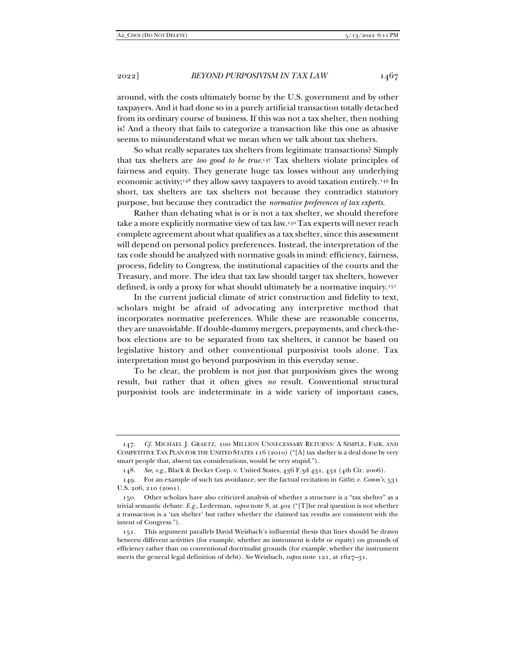around, with the costs ultimately borne by the U.S. government and by other taxpayers. And it had done so in a purely artificial transaction totally detached from its ordinary course of business. If this was not a tax shelter, then nothing is! And a theory that fails to categorize a transaction like this one as abusive seems to misunderstand what we mean when we talk about tax shelters.

So what really separates tax shelters from legitimate transactions? Simply that tax shelters are *too good to be true*.147 Tax shelters violate principles of fairness and equity. They generate huge tax losses without any underlying economic activity;148 they allow savvy taxpayers to avoid taxation entirely.149 In short, tax shelters are tax shelters not because they contradict statutory purpose, but because they contradict the *normative preferences of tax experts*.

Rather than debating what is or is not a tax shelter, we should therefore take a more explicitly normative view of tax law.150 Tax experts will never reach complete agreement about what qualifies as a tax shelter, since this assessment will depend on personal policy preferences. Instead, the interpretation of the tax code should be analyzed with normative goals in mind: efficiency, fairness, process, fidelity to Congress, the institutional capacities of the courts and the Treasury, and more. The idea that tax law should target tax shelters, however defined, is only a proxy for what should ultimately be a normative inquiry.151

In the current judicial climate of strict construction and fidelity to text, scholars might be afraid of advocating any interpretive method that incorporates normative preferences. While these are reasonable concerns, they are unavoidable. If double-dummy mergers, prepayments, and check-thebox elections are to be separated from tax shelters, it cannot be based on legislative history and other conventional purposivist tools alone. Tax interpretation must go beyond purposivism in this everyday sense.

To be clear, the problem is not just that purposivism gives the wrong result, but rather that it often gives *no* result. Conventional structural purposivist tools are indeterminate in a wide variety of important cases,

<sup>147</sup>*. Cf.* MICHAEL J. GRAETZ, 100 MILLION UNNECESSARY RETURNS: A SIMPLE, FAIR, AND COMPETITIVE TAX PLAN FOR THE UNITED STATES 116 (2010) ("[A] tax shelter is a deal done by very smart people that, absent tax considerations, would be very stupid.").

<sup>148</sup>*. See, e.g.*, Black & Decker Corp. v. United States, 436 F.3d 431, 432 (4th Cir. 2006).

 <sup>149.</sup> For an example of such tax avoidance, see the factual recitation in *Gitlitz v. Comm'r*, 531 U.S. 206, 210 (2001).

 <sup>150.</sup> Other scholars have also criticized analysis of whether a structure is a "tax shelter" as a trivial semantic debate. *E.g.*, Lederman, *supra* note 8, at 402 ("[T]he real question is not whether a transaction is a 'tax shelter' but rather whether the claimed tax results are consistent with the intent of Congress.").

 <sup>151.</sup> This argument parallels David Weisbach's influential thesis that lines should be drawn between different activities (for example, whether an instrument is debt or equity) on grounds of efficiency rather than on conventional doctrinalist grounds (for example, whether the instrument meets the general legal definition of debt). *See* Weisbach, *supra* note 121, at 1627–31.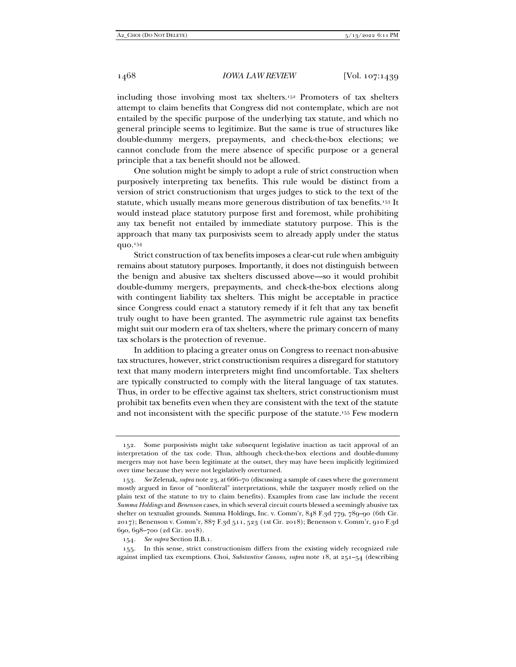including those involving most tax shelters.152 Promoters of tax shelters attempt to claim benefits that Congress did not contemplate, which are not entailed by the specific purpose of the underlying tax statute, and which no general principle seems to legitimize. But the same is true of structures like double-dummy mergers, prepayments, and check-the-box elections; we cannot conclude from the mere absence of specific purpose or a general principle that a tax benefit should not be allowed.

One solution might be simply to adopt a rule of strict construction when purposively interpreting tax benefits. This rule would be distinct from a version of strict constructionism that urges judges to stick to the text of the statute, which usually means more generous distribution of tax benefits.153 It would instead place statutory purpose first and foremost, while prohibiting any tax benefit not entailed by immediate statutory purpose. This is the approach that many tax purposivists seem to already apply under the status quo.154

Strict construction of tax benefits imposes a clear-cut rule when ambiguity remains about statutory purposes. Importantly, it does not distinguish between the benign and abusive tax shelters discussed above—so it would prohibit double-dummy mergers, prepayments, and check-the-box elections along with contingent liability tax shelters. This might be acceptable in practice since Congress could enact a statutory remedy if it felt that any tax benefit truly ought to have been granted. The asymmetric rule against tax benefits might suit our modern era of tax shelters, where the primary concern of many tax scholars is the protection of revenue.

In addition to placing a greater onus on Congress to reenact non-abusive tax structures, however, strict constructionism requires a disregard for statutory text that many modern interpreters might find uncomfortable. Tax shelters are typically constructed to comply with the literal language of tax statutes. Thus, in order to be effective against tax shelters, strict constructionism must prohibit tax benefits even when they are consistent with the text of the statute and not inconsistent with the specific purpose of the statute.155 Few modern

 <sup>152.</sup> Some purposivists might take subsequent legislative inaction as tacit approval of an interpretation of the tax code. Thus, although check-the-box elections and double-dummy mergers may not have been legitimate at the outset, they may have been implicitly legitimized over time because they were not legislatively overturned.

<sup>153</sup>*. See* Zelenak, *supra* note 23, at 666–70 (discussing a sample of cases where the government mostly argued in favor of "nonliteral" interpretations, while the taxpayer mostly relied on the plain text of the statute to try to claim benefits). Examples from case law include the recent *Summa Holdings* and *Benenson* cases, in which several circuit courts blessed a seemingly abusive tax shelter on textualist grounds. Summa Holdings, Inc. v. Comm'r, 848 F.3d 779, 789–90 (6th Cir. 2017); Benenson v. Comm'r, 887 F.3d 511, 523 (1st Cir. 2018); Benenson v. Comm'r, 910 F.3d 690, 698–700 (2d Cir. 2018).

<sup>154</sup>*. See supra* Section II.B.1.

 <sup>155.</sup> In this sense, strict constructionism differs from the existing widely recognized rule against implied tax exemptions. Choi, *Substantive Canons*, *supra* note 18, at 251–54 (describing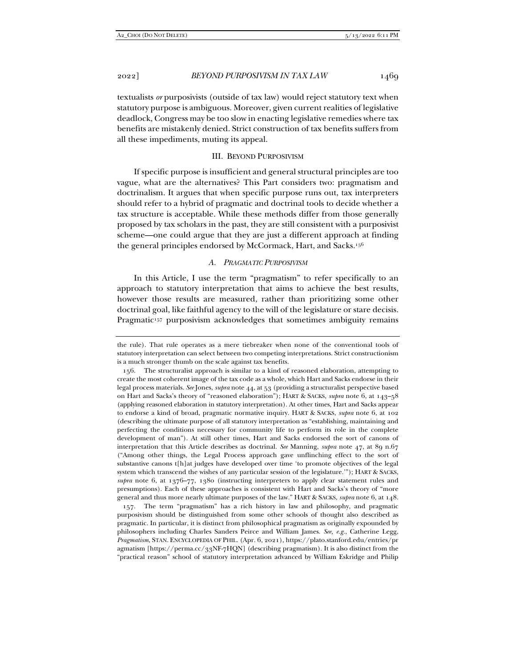textualists *or* purposivists (outside of tax law) would reject statutory text when statutory purpose is ambiguous. Moreover, given current realities of legislative deadlock, Congress may be too slow in enacting legislative remedies where tax benefits are mistakenly denied. Strict construction of tax benefits suffers from all these impediments, muting its appeal.

## III. BEYOND PURPOSIVISM

If specific purpose is insufficient and general structural principles are too vague, what are the alternatives? This Part considers two: pragmatism and doctrinalism. It argues that when specific purpose runs out, tax interpreters should refer to a hybrid of pragmatic and doctrinal tools to decide whether a tax structure is acceptable. While these methods differ from those generally proposed by tax scholars in the past, they are still consistent with a purposivist scheme—one could argue that they are just a different approach at finding the general principles endorsed by McCormack, Hart, and Sacks.156

# *A. PRAGMATIC PURPOSIVISM*

In this Article, I use the term "pragmatism" to refer specifically to an approach to statutory interpretation that aims to achieve the best results, however those results are measured, rather than prioritizing some other doctrinal goal, like faithful agency to the will of the legislature or stare decisis. Pragmatic<sup>157</sup> purposivism acknowledges that sometimes ambiguity remains

 157. The term "pragmatism" has a rich history in law and philosophy, and pragmatic purposivism should be distinguished from some other schools of thought also described as pragmatic. In particular, it is distinct from philosophical pragmatism as originally expounded by philosophers including Charles Sanders Peirce and William James. *See, e.g.*, Catherine Legg, *Pragmatism*, STAN. ENCYCLOPEDIA OF PHIL. (Apr. 6, 2021), https://plato.stanford.edu/entries/pr agmatism [https://perma.cc/33NF-7HQN] (describing pragmatism). It is also distinct from the "practical reason" school of statutory interpretation advanced by William Eskridge and Philip

the rule). That rule operates as a mere tiebreaker when none of the conventional tools of statutory interpretation can select between two competing interpretations. Strict constructionism is a much stronger thumb on the scale against tax benefits.

 <sup>156.</sup> The structuralist approach is similar to a kind of reasoned elaboration, attempting to create the most coherent image of the tax code as a whole, which Hart and Sacks endorse in their legal process materials. *See* Jones, *supra* note 44, at 53 (providing a structuralist perspective based on Hart and Sacks's theory of "reasoned elaboration"); HART & SACKS, *supra* note 6, at 143–58 (applying reasoned elaboration in statutory interpretation). At other times, Hart and Sacks appear to endorse a kind of broad, pragmatic normative inquiry. HART & SACKS, *supra* note 6, at 102 (describing the ultimate purpose of all statutory interpretation as "establishing, maintaining and perfecting the conditions necessary for community life to perform its role in the complete development of man"). At still other times, Hart and Sacks endorsed the sort of canons of interpretation that this Article describes as doctrinal. *See* Manning, *supra* note 47, at 89 n.67 ("Among other things, the Legal Process approach gave unflinching effect to the sort of substantive canons t[h]at judges have developed over time 'to promote objectives of the legal system which transcend the wishes of any particular session of the legislature.'"); HART & SACKS, *supra* note 6, at 1376–77, 1380 (instructing interpreters to apply clear statement rules and presumptions). Each of these approaches is consistent with Hart and Sacks's theory of "more general and thus more nearly ultimate purposes of the law." HART & SACKS, *supra* note 6, at 148.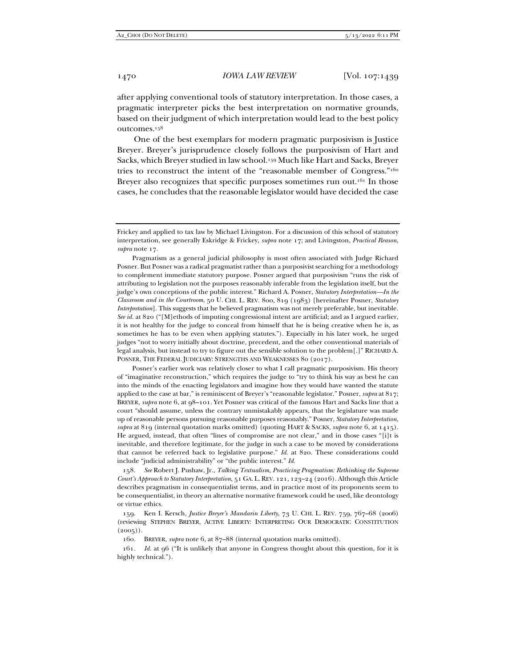after applying conventional tools of statutory interpretation. In those cases, a pragmatic interpreter picks the best interpretation on normative grounds, based on their judgment of which interpretation would lead to the best policy outcomes.158

One of the best exemplars for modern pragmatic purposivism is Justice Breyer. Breyer's jurisprudence closely follows the purposivism of Hart and Sacks, which Breyer studied in law school.159 Much like Hart and Sacks, Breyer tries to reconstruct the intent of the "reasonable member of Congress."160 Breyer also recognizes that specific purposes sometimes run out.<sup>161</sup> In those cases, he concludes that the reasonable legislator would have decided the case

Pragmatism as a general judicial philosophy is most often associated with Judge Richard Posner. But Posner was a radical pragmatist rather than a purposivist searching for a methodology to complement immediate statutory purpose. Posner argued that purposivism "runs the risk of attributing to legislation not the purposes reasonably inferable from the legislation itself, but the judge's own conceptions of the public interest." Richard A. Posner, *Statutory Interpretation—In the Classroom and in the Courtroom*, 50 U. CHI. L. REV. 800, 819 (1983) [hereinafter Posner, *Statutory Interpretation*]. This suggests that he believed pragmatism was not merely preferable, but inevitable. *See id.* at 820 ("[M]ethods of imputing congressional intent are artificial; and as I argued earlier, it is not healthy for the judge to conceal from himself that he is being creative when he is, as sometimes he has to be even when applying statutes."). Especially in his later work, he urged judges "not to worry initially about doctrine, precedent, and the other conventional materials of legal analysis, but instead to try to figure out the sensible solution to the problem[.]" RICHARD A. POSNER, THE FEDERAL JUDICIARY: STRENGTHS AND WEAKNESSES 80 (2017).

Posner's earlier work was relatively closer to what I call pragmatic purposivism. His theory of "imaginative reconstruction," which requires the judge to "try to think his way as best he can into the minds of the enacting legislators and imagine how they would have wanted the statute applied to the case at bar," is reminiscent of Breyer's "reasonable legislator." Posner, *supra* at 817; BREYER, *supra* note 6, at 98–101. Yet Posner was critical of the famous Hart and Sacks line that a court "should assume, unless the contrary unmistakably appears, that the legislature was made up of reasonable persons pursuing reasonable purposes reasonably." Posner, *Statutory Interpretation*, *supra* at 819 (internal quotation marks omitted) (quoting HART & SACKS, *supra* note 6, at 1415). He argued, instead, that often "lines of compromise are not clear," and in those cases "[i]t is inevitable, and therefore legitimate, for the judge in such a case to be moved by considerations that cannot be referred back to legislative purpose." *Id.* at 820. These considerations could include "judicial administrability" or "the public interest." *Id.*

158*. See* Robert J. Pushaw, Jr., *Talking Textualism, Practicing Pragmatism: Rethinking the Supreme Court's Approach to Statutory Interpretation*, 51 GA. L. REV. 121, 123–24 (2016). Although this Article describes pragmatism in consequentialist terms, and in practice most of its proponents seem to be consequentialist, in theory an alternative normative framework could be used, like deontology or virtue ethics.

 159. Ken I. Kersch, *Justice Breyer's Mandarin Liberty*, 73 U. CHI. L. REV. 759, 767–68 (2006) (reviewing STEPHEN BREYER, ACTIVE LIBERTY: INTERPRETING OUR DEMOCRATIC CONSTITUTION  $(2005)$ ).

160. BREYER, *supra* note 6, at 87–88 (internal quotation marks omitted).

161*. Id.* at 96 ("It is unlikely that anyone in Congress thought about this question, for it is highly technical.").

Frickey and applied to tax law by Michael Livingston. For a discussion of this school of statutory interpretation, see generally Eskridge & Frickey, *supra* note 17; and Livingston, *Practical Reason*, *supra* note 17.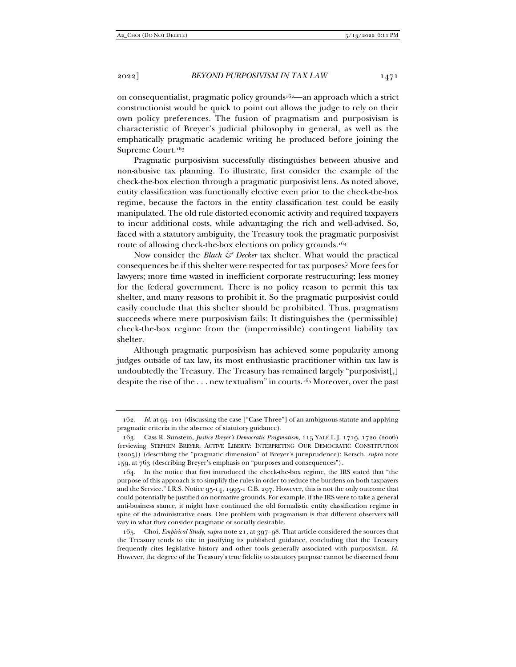on consequentialist, pragmatic policy grounds162—an approach which a strict constructionist would be quick to point out allows the judge to rely on their own policy preferences. The fusion of pragmatism and purposivism is characteristic of Breyer's judicial philosophy in general, as well as the emphatically pragmatic academic writing he produced before joining the Supreme Court.163

Pragmatic purposivism successfully distinguishes between abusive and non-abusive tax planning. To illustrate, first consider the example of the check-the-box election through a pragmatic purposivist lens. As noted above, entity classification was functionally elective even prior to the check-the-box regime, because the factors in the entity classification test could be easily manipulated. The old rule distorted economic activity and required taxpayers to incur additional costs, while advantaging the rich and well-advised. So, faced with a statutory ambiguity, the Treasury took the pragmatic purposivist route of allowing check-the-box elections on policy grounds.164

Now consider the *Black & Decker* tax shelter. What would the practical consequences be if this shelter were respected for tax purposes? More fees for lawyers; more time wasted in inefficient corporate restructuring; less money for the federal government. There is no policy reason to permit this tax shelter, and many reasons to prohibit it. So the pragmatic purposivist could easily conclude that this shelter should be prohibited. Thus, pragmatism succeeds where mere purposivism fails: It distinguishes the (permissible) check-the-box regime from the (impermissible) contingent liability tax shelter.

Although pragmatic purposivism has achieved some popularity among judges outside of tax law, its most enthusiastic practitioner within tax law is undoubtedly the Treasury. The Treasury has remained largely "purposivist[,] despite the rise of the . . . new textualism" in courts.165 Moreover, over the past

<sup>162</sup>*. Id.* at 95–101 (discussing the case ["Case Three"] of an ambiguous statute and applying pragmatic criteria in the absence of statutory guidance).

 <sup>163.</sup> Cass R. Sunstein, *Justice Breyer's Democratic Pragmatism*, 115 YALE L.J. 1719, 1720 (2006) (reviewing STEPHEN BREYER, ACTIVE LIBERTY: INTERPRETING OUR DEMOCRATIC CONSTITUTION (2005)) (describing the "pragmatic dimension" of Breyer's jurisprudence); Kersch, *supra* note 159, at 763 (describing Breyer's emphasis on "purposes and consequences").

 <sup>164.</sup> In the notice that first introduced the check-the-box regime, the IRS stated that "the purpose of this approach is to simplify the rules in order to reduce the burdens on both taxpayers and the Service." I.R.S. Notice 95-14, 1995-1 C.B. 297. However, this is not the only outcome that could potentially be justified on normative grounds. For example, if the IRS were to take a general anti-business stance, it might have continued the old formalistic entity classification regime in spite of the administrative costs. One problem with pragmatism is that different observers will vary in what they consider pragmatic or socially desirable.

 <sup>165.</sup> Choi, *Empirical Study*, *supra* note 21, at 397–98. That article considered the sources that the Treasury tends to cite in justifying its published guidance, concluding that the Treasury frequently cites legislative history and other tools generally associated with purposivism. *Id.* However, the degree of the Treasury's true fidelity to statutory purpose cannot be discerned from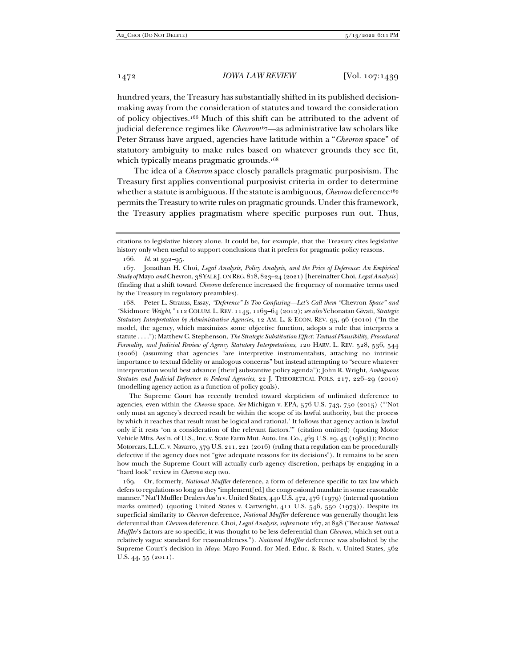hundred years, the Treasury has substantially shifted in its published decisionmaking away from the consideration of statutes and toward the consideration of policy objectives.166 Much of this shift can be attributed to the advent of judicial deference regimes like *Chevron*167—as administrative law scholars like Peter Strauss have argued, agencies have latitude within a "*Chevron* space" of statutory ambiguity to make rules based on whatever grounds they see fit, which typically means pragmatic grounds.<sup>168</sup>

The idea of a *Chevron* space closely parallels pragmatic purposivism. The Treasury first applies conventional purposivist criteria in order to determine whether a statute is ambiguous. If the statute is ambiguous, *Chevron* deference<sup>169</sup> permits the Treasury to write rules on pragmatic grounds. Under this framework, the Treasury applies pragmatism where specific purposes run out. Thus,

 168. Peter L. Strauss, Essay, *"Deference" Is Too Confusing—Let's Call them "*Chevron *Space" and "*Skidmore *Weight*,*"* 112 COLUM. L. REV. 1143, 1163–64 (2012); *see also* Yehonatan Givati, *Strategic Statutory Interpretation by Administrative Agencies*, 12 AM. L. & ECON. REV. 95, 96 (2010) ("In the model, the agency, which maximizes some objective function, adopts a rule that interprets a statute . . . ."); Matthew C. Stephenson, *The Strategic Substitution Effect: Textual Plausibility, Procedural Formality, and Judicial Review of Agency Statutory Interpretations*, 120 HARV. L. REV. 528, 536, 544 (2006) (assuming that agencies "are interpretive instrumentalists, attaching no intrinsic importance to textual fidelity or analogous concerns" but instead attempting to "secure whatever interpretation would best advance [their] substantive policy agenda"); John R. Wright, *Ambiguous Statutes and Judicial Deference to Federal Agencies*, 22 J. THEORETICAL POLS. 217, 226–29 (2010) (modelling agency action as a function of policy goals).

 The Supreme Court has recently trended toward skepticism of unlimited deference to agencies, even within the *Chevron* space. *See* Michigan v. EPA, 576 U.S. 743, 750 (2015) ("'Not only must an agency's decreed result be within the scope of its lawful authority, but the process by which it reaches that result must be logical and rational.' It follows that agency action is lawful only if it rests 'on a consideration of the relevant factors.'" (citation omitted) (quoting Motor Vehicle Mfrs. Ass'n. of U.S., Inc. v. State Farm Mut. Auto. Ins. Co., 463 U.S. 29, 43 (1983))); Encino Motorcars, L.L.C. v. Navarro, 579 U.S. 211, 221 (2016) (ruling that a regulation can be procedurally defective if the agency does not "give adequate reasons for its decisions"). It remains to be seen how much the Supreme Court will actually curb agency discretion, perhaps by engaging in a "hard look" review in *Chevron* step two.

 169. Or, formerly, *National Muffler* deference, a form of deference specific to tax law which defers to regulations so long as they "implement[ed] the congressional mandate in some reasonable manner." Nat'l Muffler Dealers Ass'n v. United States, 440 U.S. 472, 476 (1979) (internal quotation marks omitted) (quoting United States v. Cartwright, 411 U.S. 546, 550 (1973)). Despite its superficial similarity to *Chevron* deference, *National Muffler* deference was generally thought less deferential than *Chevron* deference. Choi, *Legal Analysis*, *supra* note 167, at 838 ("Because *National Muffler*'s factors are so specific, it was thought to be less deferential than *Chevron*, which set out a relatively vague standard for reasonableness."). *National Muffler* deference was abolished by the Supreme Court's decision in *Mayo*. Mayo Found. for Med. Educ. & Rsch. v. United States, 562 U.S. 44, 55 (2011).

citations to legislative history alone. It could be, for example, that the Treasury cites legislative history only when useful to support conclusions that it prefers for pragmatic policy reasons.

<sup>166</sup>*. Id.* at 392–95.

 <sup>167.</sup> Jonathan H. Choi, *Legal Analysis, Policy Analysis, and the Price of Deference: An Empirical Study of* Mayo *and* Chevron, 38 YALE J. ON REG. 818, 823–24 (2021) [hereinafter Choi, *Legal Analysis*] (finding that a shift toward *Chevron* deference increased the frequency of normative terms used by the Treasury in regulatory preambles).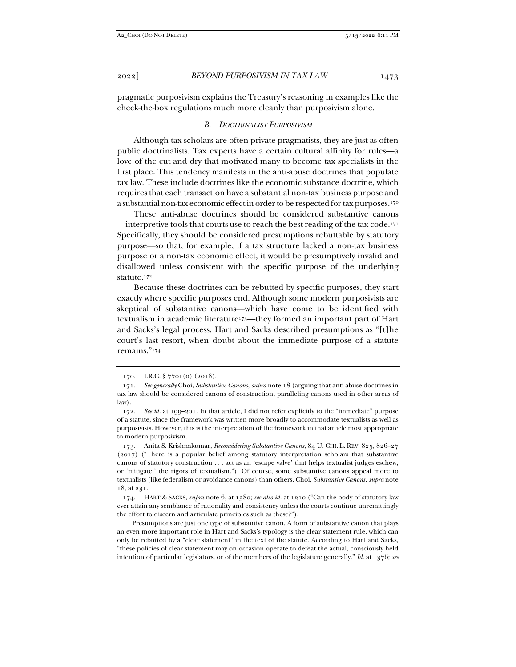pragmatic purposivism explains the Treasury's reasoning in examples like the check-the-box regulations much more cleanly than purposivism alone.

#### *B. DOCTRINALIST PURPOSIVISM*

Although tax scholars are often private pragmatists, they are just as often public doctrinalists. Tax experts have a certain cultural affinity for rules—a love of the cut and dry that motivated many to become tax specialists in the first place. This tendency manifests in the anti-abuse doctrines that populate tax law. These include doctrines like the economic substance doctrine, which requires that each transaction have a substantial non-tax business purpose and a substantial non-tax economic effect in order to be respected for tax purposes.170

These anti-abuse doctrines should be considered substantive canons —interpretive tools that courts use to reach the best reading of the tax code.171 Specifically, they should be considered presumptions rebuttable by statutory purpose—so that, for example, if a tax structure lacked a non-tax business purpose or a non-tax economic effect, it would be presumptively invalid and disallowed unless consistent with the specific purpose of the underlying statute.172

Because these doctrines can be rebutted by specific purposes, they start exactly where specific purposes end. Although some modern purposivists are skeptical of substantive canons—which have come to be identified with textualism in academic literature<sup>173</sup>—they formed an important part of Hart and Sacks's legal process. Hart and Sacks described presumptions as "[t]he court's last resort, when doubt about the immediate purpose of a statute remains."174

 173. Anita S. Krishnakumar, *Reconsidering Substantive Canons*, 84 U. CHI. L. REV. 825, 826–27 (2017) ("There is a popular belief among statutory interpretation scholars that substantive canons of statutory construction . . . act as an 'escape valve' that helps textualist judges eschew, or 'mitigate,' the rigors of textualism."). Of course, some substantive canons appeal more to textualists (like federalism or avoidance canons) than others. Choi, *Substantive Canons*, *supra* note 18, at 231.

 174. HART & SACKS, *supra* note 6, at 1380; *see also id.* at 1210 ("Can the body of statutory law ever attain any semblance of rationality and consistency unless the courts continue unremittingly the effort to discern and articulate principles such as these?").

Presumptions are just one type of substantive canon. A form of substantive canon that plays an even more important role in Hart and Sacks's typology is the clear statement rule, which can only be rebutted by a "clear statement" in the text of the statute. According to Hart and Sacks, "these policies of clear statement may on occasion operate to defeat the actual, consciously held intention of particular legislators, or of the members of the legislature generally." *Id.* at 1376; *see* 

 <sup>170.</sup> I.R.C. § 7701(o) (2018).

<sup>171</sup>*. See generally* Choi, *Substantive Canons*, *supra* note 18 (arguing that anti-abuse doctrines in tax law should be considered canons of construction, paralleling canons used in other areas of law).

<sup>172</sup>*. See id.* at 199–201. In that article, I did not refer explicitly to the "immediate" purpose of a statute, since the framework was written more broadly to accommodate textualists as well as purposivists. However, this is the interpretation of the framework in that article most appropriate to modern purposivism.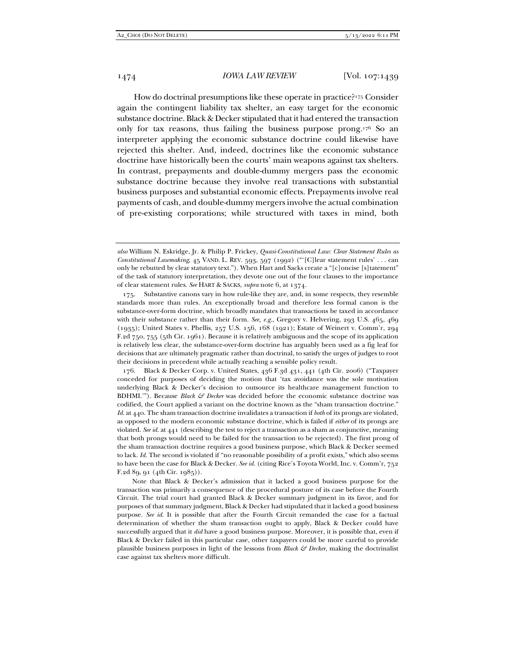How do doctrinal presumptions like these operate in practice?175 Consider again the contingent liability tax shelter, an easy target for the economic substance doctrine. Black & Decker stipulated that it had entered the transaction only for tax reasons, thus failing the business purpose prong.176 So an interpreter applying the economic substance doctrine could likewise have rejected this shelter. And, indeed, doctrines like the economic substance doctrine have historically been the courts' main weapons against tax shelters. In contrast, prepayments and double-dummy mergers pass the economic substance doctrine because they involve real transactions with substantial business purposes and substantial economic effects. Prepayments involve real payments of cash, and double-dummy mergers involve the actual combination of pre-existing corporations; while structured with taxes in mind, both

 176. Black & Decker Corp. v. United States, 436 F.3d 431, 441 (4th Cir. 2006) ("Taxpayer conceded for purposes of deciding the motion that 'tax avoidance was the sole motivation underlying Black & Decker's decision to outsource its healthcare management function to BDHMI.'"). Because *Black & Decker* was decided before the economic substance doctrine was codified, the Court applied a variant on the doctrine known as the "sham transaction doctrine." *Id.* at 440. The sham transaction doctrine invalidates a transaction if *both* of its prongs are violated, as opposed to the modern economic substance doctrine, which is failed if *either* of its prongs are violated. *See id.* at 441 (describing the test to reject a transaction as a sham as conjunctive, meaning that both prongs would need to be failed for the transaction to be rejected). The first prong of the sham transaction doctrine requires a good business purpose, which Black & Decker seemed to lack. *Id.* The second is violated if "no reasonable possibility of a profit exists," which also seems to have been the case for Black & Decker. *See id.* (citing Rice's Toyota World, Inc. v. Comm'r, 752 F.2d 89, 91 (4th Cir. 1985)).

Note that Black & Decker's admission that it lacked a good business purpose for the transaction was primarily a consequence of the procedural posture of its case before the Fourth Circuit. The trial court had granted Black & Decker summary judgment in its favor, and for purposes of that summary judgment, Black & Decker had stipulated that it lacked a good business purpose. *See id*. It is possible that after the Fourth Circuit remanded the case for a factual determination of whether the sham transaction ought to apply, Black & Decker could have successfully argued that it *did* have a good business purpose. Moreover, it is possible that, even if Black & Decker failed in this particular case, other taxpayers could be more careful to provide plausible business purposes in light of the lessons from *Black & Decker*, making the doctrinalist case against tax shelters more difficult.

*also* William N. Eskridge, Jr. & Philip P. Frickey, *Quasi-Constitutional Law: Clear Statement Rules as Constitutional Lawmaking*, 45 VAND. L. REV. 593, 597 (1992) ("'[C]lear statement rules' . . . can only be rebutted by clear statutory text."). When Hart and Sacks create a "[c]oncise [s]tatement" of the task of statutory interpretation, they devote one out of the four clauses to the importance of clear statement rules. *See* HART & SACKS, *supra* note 6, at 1374.

 <sup>175.</sup> Substantive canons vary in how rule-like they are, and, in some respects, they resemble standards more than rules. An exceptionally broad and therefore less formal canon is the substance-over-form doctrine, which broadly mandates that transactions be taxed in accordance with their substance rather than their form. *See, e.g.*, Gregory v. Helvering, 293 U.S. 465, 469 (1935); United States v. Phellis, 257 U.S. 156, 168 (1921); Estate of Weinert v. Comm'r, 294 F.2d 750, 755 (5th Cir. 1961). Because it is relatively ambiguous and the scope of its application is relatively less clear, the substance-over-form doctrine has arguably been used as a fig leaf for decisions that are ultimately pragmatic rather than doctrinal, to satisfy the urges of judges to root their decisions in precedent while actually reaching a sensible policy result.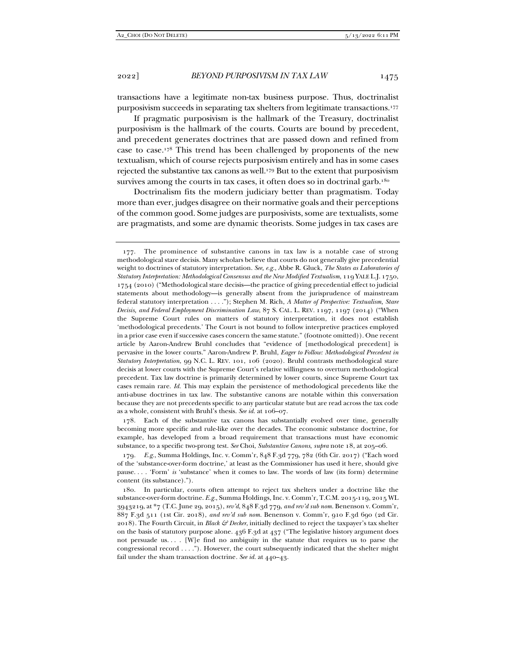transactions have a legitimate non-tax business purpose. Thus, doctrinalist purposivism succeeds in separating tax shelters from legitimate transactions.177

If pragmatic purposivism is the hallmark of the Treasury, doctrinalist purposivism is the hallmark of the courts. Courts are bound by precedent, and precedent generates doctrines that are passed down and refined from case to case.178 This trend has been challenged by proponents of the new textualism, which of course rejects purposivism entirely and has in some cases rejected the substantive tax canons as well.179 But to the extent that purposivism survives among the courts in tax cases, it often does so in doctrinal garb.<sup>180</sup>

Doctrinalism fits the modern judiciary better than pragmatism. Today more than ever, judges disagree on their normative goals and their perceptions of the common good. Some judges are purposivists, some are textualists, some are pragmatists, and some are dynamic theorists. Some judges in tax cases are

 178. Each of the substantive tax canons has substantially evolved over time, generally becoming more specific and rule-like over the decades. The economic substance doctrine, for example, has developed from a broad requirement that transactions must have economic substance, to a specific two-prong test. *See* Choi, *Substantive Canons*, *supra* note 18, at 205–06.

179*. E.g.*, Summa Holdings, Inc. v. Comm'r, 848 F.3d 779, 782 (6th Cir. 2017) ("Each word of the 'substance-over-form doctrine,' at least as the Commissioner has used it here, should give pause. . . . 'Form' *is* 'substance' when it comes to law. The words of law (its form) determine content (its substance).").

 <sup>177.</sup> The prominence of substantive canons in tax law is a notable case of strong methodological stare decisis. Many scholars believe that courts do not generally give precedential weight to doctrines of statutory interpretation. *See, e.g.*, Abbe R. Gluck, *The States as Laboratories of Statutory Interpretation: Methodological Consensus and the New Modified Textualism*, 119 YALE L.J. 1750, 1754 (2010) ("Methodological stare decisis—the practice of giving precedential effect to judicial statements about methodology—is generally absent from the jurisprudence of mainstream federal statutory interpretation . . . ."); Stephen M. Rich, *A Matter of Perspective: Textualism, Stare Decisis, and Federal Employment Discrimination Law*, 87 S. CAL. L. REV. 1197, 1197 (2014) ("When the Supreme Court rules on matters of statutory interpretation, it does not establish 'methodological precedents.' The Court is not bound to follow interpretive practices employed in a prior case even if successive cases concern the same statute." (footnote omitted)). One recent article by Aaron-Andrew Bruhl concludes that "evidence of [methodological precedent] is pervasive in the lower courts." Aaron-Andrew P. Bruhl, *Eager to Follow: Methodological Precedent in Statutory Interpretation*, 99 N.C. L. REV. 101, 106 (2020). Bruhl contrasts methodological stare decisis at lower courts with the Supreme Court's relative willingness to overturn methodological precedent. Tax law doctrine is primarily determined by lower courts, since Supreme Court tax cases remain rare. *Id.* This may explain the persistence of methodological precedents like the anti-abuse doctrines in tax law. The substantive canons are notable within this conversation because they are not precedents specific to any particular statute but are read across the tax code as a whole, consistent with Bruhl's thesis. *See id.* at 106–07.

 <sup>180.</sup> In particular, courts often attempt to reject tax shelters under a doctrine like the substance-over-form doctrine. *E.g.*, Summa Holdings, Inc. v. Comm'r, T.C.M. 2015-119, 2015 WL 3943219, at \*7 (T.C. June 29, 2015), *rev'd*, 848 F.3d 779, *and rev'd sub nom.* Benenson v. Comm'r, 887 F.3d 511 (1st Cir. 2018), *and rev'd sub nom.* Benenson v. Comm'r, 910 F.3d 690 (2d Cir. 2018). The Fourth Circuit, in *Black & Decker*, initially declined to reject the taxpayer's tax shelter on the basis of statutory purpose alone. 436 F.3d at 437 ("The legislative history argument does not persuade us.... [W]e find no ambiguity in the statute that requires us to parse the congressional record . . . ."). However, the court subsequently indicated that the shelter might fail under the sham transaction doctrine*. See id.* at 440–43.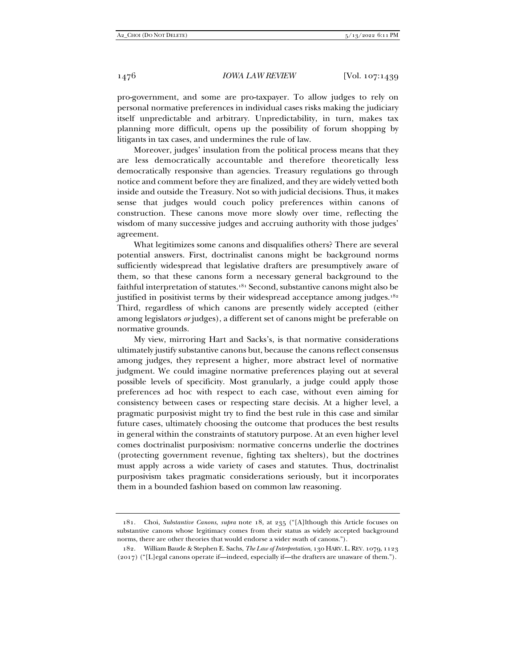pro-government, and some are pro-taxpayer. To allow judges to rely on personal normative preferences in individual cases risks making the judiciary itself unpredictable and arbitrary. Unpredictability, in turn, makes tax planning more difficult, opens up the possibility of forum shopping by litigants in tax cases, and undermines the rule of law.

Moreover, judges' insulation from the political process means that they are less democratically accountable and therefore theoretically less democratically responsive than agencies. Treasury regulations go through notice and comment before they are finalized, and they are widely vetted both inside and outside the Treasury. Not so with judicial decisions. Thus, it makes sense that judges would couch policy preferences within canons of construction. These canons move more slowly over time, reflecting the wisdom of many successive judges and accruing authority with those judges' agreement.

What legitimizes some canons and disqualifies others? There are several potential answers. First, doctrinalist canons might be background norms sufficiently widespread that legislative drafters are presumptively aware of them, so that these canons form a necessary general background to the faithful interpretation of statutes.181 Second, substantive canons might also be justified in positivist terms by their widespread acceptance among judges.<sup>182</sup> Third, regardless of which canons are presently widely accepted (either among legislators *or* judges), a different set of canons might be preferable on normative grounds.

My view, mirroring Hart and Sacks's, is that normative considerations ultimately justify substantive canons but, because the canons reflect consensus among judges, they represent a higher, more abstract level of normative judgment. We could imagine normative preferences playing out at several possible levels of specificity. Most granularly, a judge could apply those preferences ad hoc with respect to each case, without even aiming for consistency between cases or respecting stare decisis. At a higher level, a pragmatic purposivist might try to find the best rule in this case and similar future cases, ultimately choosing the outcome that produces the best results in general within the constraints of statutory purpose. At an even higher level comes doctrinalist purposivism: normative concerns underlie the doctrines (protecting government revenue, fighting tax shelters), but the doctrines must apply across a wide variety of cases and statutes. Thus, doctrinalist purposivism takes pragmatic considerations seriously, but it incorporates them in a bounded fashion based on common law reasoning.

 <sup>181.</sup> Choi, *Substantive Canons*, *supra* note 18, at 235 ("[A]lthough this Article focuses on substantive canons whose legitimacy comes from their status as widely accepted background norms, there are other theories that would endorse a wider swath of canons.").

 <sup>182.</sup> William Baude & Stephen E. Sachs, *The Law of Interpretation*, 130 HARV. L. REV. 1079, 1123 (2017) ("[L]egal canons operate if—indeed, especially if—the drafters are unaware of them.").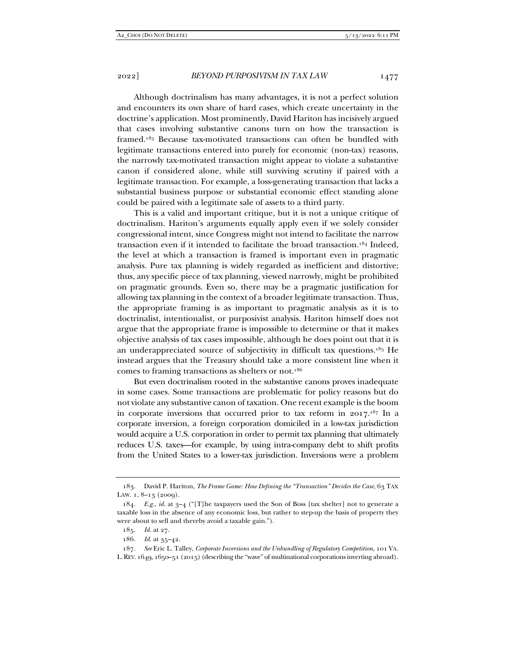Although doctrinalism has many advantages, it is not a perfect solution and encounters its own share of hard cases, which create uncertainty in the doctrine's application. Most prominently, David Hariton has incisively argued that cases involving substantive canons turn on how the transaction is framed.183 Because tax-motivated transactions can often be bundled with legitimate transactions entered into purely for economic (non-tax) reasons, the narrowly tax-motivated transaction might appear to violate a substantive canon if considered alone, while still surviving scrutiny if paired with a legitimate transaction. For example, a loss-generating transaction that lacks a substantial business purpose or substantial economic effect standing alone could be paired with a legitimate sale of assets to a third party.

This is a valid and important critique, but it is not a unique critique of doctrinalism. Hariton's arguments equally apply even if we solely consider congressional intent, since Congress might not intend to facilitate the narrow transaction even if it intended to facilitate the broad transaction.<sup>184</sup> Indeed, the level at which a transaction is framed is important even in pragmatic analysis. Pure tax planning is widely regarded as inefficient and distortive; thus, any specific piece of tax planning, viewed narrowly, might be prohibited on pragmatic grounds. Even so, there may be a pragmatic justification for allowing tax planning in the context of a broader legitimate transaction. Thus, the appropriate framing is as important to pragmatic analysis as it is to doctrinalist, intentionalist, or purposivist analysis. Hariton himself does not argue that the appropriate frame is impossible to determine or that it makes objective analysis of tax cases impossible, although he does point out that it is an underappreciated source of subjectivity in difficult tax questions.185 He instead argues that the Treasury should take a more consistent line when it comes to framing transactions as shelters or not.186

But even doctrinalism rooted in the substantive canons proves inadequate in some cases. Some transactions are problematic for policy reasons but do not violate any substantive canon of taxation. One recent example is the boom in corporate inversions that occurred prior to tax reform in 2017.187 In a corporate inversion, a foreign corporation domiciled in a low-tax jurisdiction would acquire a U.S. corporation in order to permit tax planning that ultimately reduces U.S. taxes—for example, by using intra-company debt to shift profits from the United States to a lower-tax jurisdiction. Inversions were a problem

 <sup>183.</sup> David P. Hariton, *The Frame Game: How Defining the "Transaction" Decides the Case*, 63 TAX LAW. 1, 8-13 (2009).

<sup>184</sup>*. E.g.*, *id.* at 3–4 ("[T]he taxpayers used the Son of Boss [tax shelter] not to generate a taxable loss in the absence of any economic loss, but rather to step-up the basis of property they were about to sell and thereby avoid a taxable gain.").

<sup>185</sup>*. Id.* at 27.

<sup>186</sup>*. Id.* at 35–42.

<sup>187</sup>*. See* Eric L. Talley, *Corporate Inversions and the Unbundling of Regulatory Competition*, 101 VA. L.REV.1649, 1650–51 (2015) (describing the "wave" of multinational corporations inverting abroad).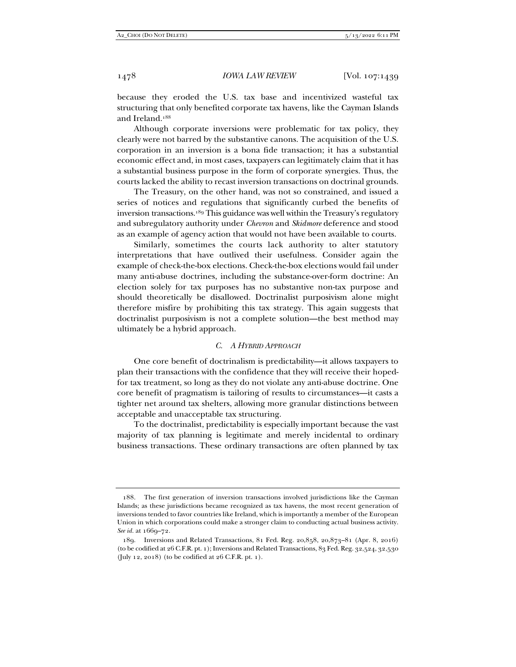because they eroded the U.S. tax base and incentivized wasteful tax structuring that only benefited corporate tax havens, like the Cayman Islands and Ireland.188

Although corporate inversions were problematic for tax policy, they clearly were not barred by the substantive canons. The acquisition of the U.S. corporation in an inversion is a bona fide transaction; it has a substantial economic effect and, in most cases, taxpayers can legitimately claim that it has a substantial business purpose in the form of corporate synergies. Thus, the courts lacked the ability to recast inversion transactions on doctrinal grounds.

The Treasury, on the other hand, was not so constrained, and issued a series of notices and regulations that significantly curbed the benefits of inversion transactions.189 This guidance was well within the Treasury's regulatory and subregulatory authority under *Chevron* and *Skidmore* deference and stood as an example of agency action that would not have been available to courts.

Similarly, sometimes the courts lack authority to alter statutory interpretations that have outlived their usefulness. Consider again the example of check-the-box elections. Check-the-box elections would fail under many anti-abuse doctrines, including the substance-over-form doctrine: An election solely for tax purposes has no substantive non-tax purpose and should theoretically be disallowed. Doctrinalist purposivism alone might therefore misfire by prohibiting this tax strategy. This again suggests that doctrinalist purposivism is not a complete solution—the best method may ultimately be a hybrid approach.

# *C. A HYBRID APPROACH*

One core benefit of doctrinalism is predictability—it allows taxpayers to plan their transactions with the confidence that they will receive their hopedfor tax treatment, so long as they do not violate any anti-abuse doctrine. One core benefit of pragmatism is tailoring of results to circumstances—it casts a tighter net around tax shelters, allowing more granular distinctions between acceptable and unacceptable tax structuring.

To the doctrinalist, predictability is especially important because the vast majority of tax planning is legitimate and merely incidental to ordinary business transactions. These ordinary transactions are often planned by tax

 <sup>188.</sup> The first generation of inversion transactions involved jurisdictions like the Cayman Islands; as these jurisdictions became recognized as tax havens, the most recent generation of inversions tended to favor countries like Ireland, which is importantly a member of the European Union in which corporations could make a stronger claim to conducting actual business activity. *See id.* at 1669–72.

 <sup>189.</sup> Inversions and Related Transactions, 81 Fed. Reg. 20,858, 20,873–81 (Apr. 8, 2016) (to be codified at 26 C.F.R. pt. 1); Inversions and Related Transactions, 83 Fed. Reg. 32,524, 32,530 (July 12, 2018) (to be codified at 26 C.F.R. pt. 1).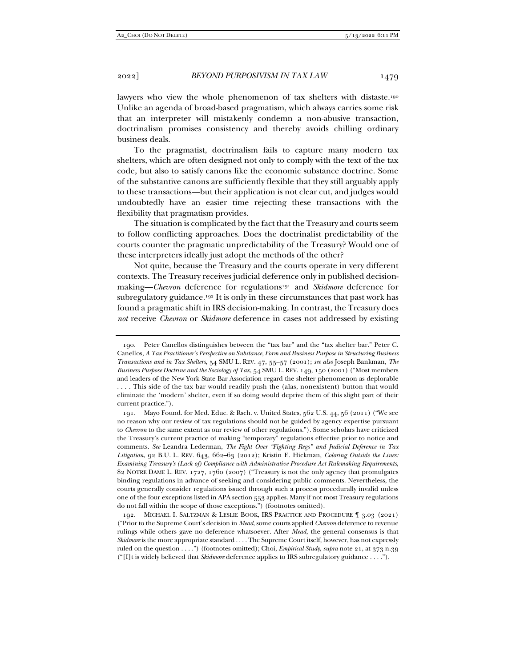lawyers who view the whole phenomenon of tax shelters with distaste.<sup>190</sup> Unlike an agenda of broad-based pragmatism, which always carries some risk that an interpreter will mistakenly condemn a non-abusive transaction, doctrinalism promises consistency and thereby avoids chilling ordinary business deals.

To the pragmatist, doctrinalism fails to capture many modern tax shelters, which are often designed not only to comply with the text of the tax code, but also to satisfy canons like the economic substance doctrine. Some of the substantive canons are sufficiently flexible that they still arguably apply to these transactions—but their application is not clear cut, and judges would undoubtedly have an easier time rejecting these transactions with the flexibility that pragmatism provides.

The situation is complicated by the fact that the Treasury and courts seem to follow conflicting approaches. Does the doctrinalist predictability of the courts counter the pragmatic unpredictability of the Treasury? Would one of these interpreters ideally just adopt the methods of the other?

Not quite, because the Treasury and the courts operate in very different contexts. The Treasury receives judicial deference only in published decisionmaking—*Chevron* deference for regulations191 and *Skidmore* deference for subregulatory guidance.<sup>192</sup> It is only in these circumstances that past work has found a pragmatic shift in IRS decision-making. In contrast, the Treasury does *not* receive *Chevron* or *Skidmore* deference in cases not addressed by existing

 <sup>190.</sup> Peter Canellos distinguishes between the "tax bar" and the "tax shelter bar." Peter C. Canellos, *A Tax Practitioner's Perspective on Substance, Form and Business Purpose in Structuring Business Transactions and in Tax Shelters*, 54 SMU L. REV. 47, 55–57 (2001); *see also* Joseph Bankman, *The Business Purpose Doctrine and the Sociology of Tax*, 54 SMU L. REV. 149, 150 (2001) ("Most members and leaders of the New York State Bar Association regard the shelter phenomenon as deplorable . . . . This side of the tax bar would readily push the (alas, nonexistent) button that would eliminate the 'modern' shelter, even if so doing would deprive them of this slight part of their current practice.").

 <sup>191.</sup> Mayo Found. for Med. Educ. & Rsch. v. United States, 562 U.S. 44, 56 (2011) ("We see no reason why our review of tax regulations should not be guided by agency expertise pursuant to *Chevron* to the same extent as our review of other regulations."). Some scholars have criticized the Treasury's current practice of making "temporary" regulations effective prior to notice and comments. *See* Leandra Lederman, *The Fight Over "Fighting Regs" and Judicial Deference in Tax Litigation*, 92 B.U. L. REV. 643, 662–63 (2012); Kristin E. Hickman, *Coloring Outside the Lines: Examining Treasury's (Lack of) Compliance with Administrative Procedure Act Rulemaking Requirements*, 82 NOTRE DAME L. REV. 1727, 1760 (2007) ("Treasury is not the only agency that promulgates binding regulations in advance of seeking and considering public comments. Nevertheless, the courts generally consider regulations issued through such a process procedurally invalid unless one of the four exceptions listed in APA section 553 applies. Many if not most Treasury regulations do not fall within the scope of those exceptions.") (footnotes omitted).

 <sup>192.</sup> MICHAEL I. SALTZMAN & LESLIE BOOK, IRS PRACTICE AND PROCEDURE ¶ 3.03 (2021) ("Prior to the Supreme Court's decision in *Mead*, some courts applied *Chevron* deference to revenue rulings while others gave no deference whatsoever. After *Mead*, the general consensus is that *Skidmore* is the more appropriate standard . . . . The Supreme Court itself, however, has not expressly ruled on the question . . . .") (footnotes omitted); Choi, *Empirical Study*, *supra* note 21, at 373 n.39 ("[I]t is widely believed that *Skidmore* deference applies to IRS subregulatory guidance . . . .").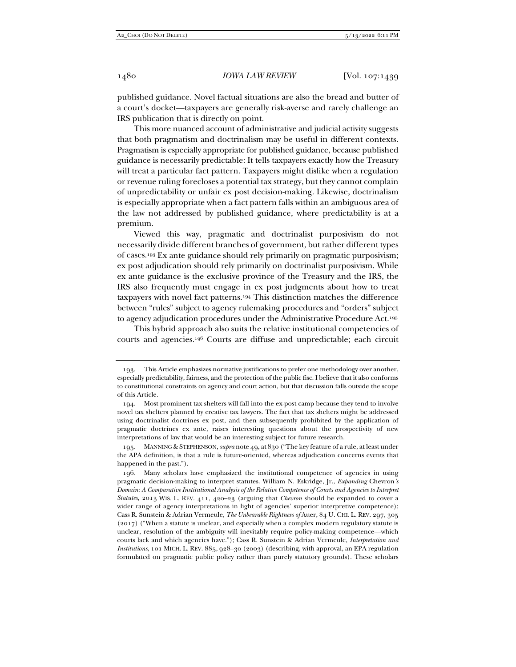published guidance. Novel factual situations are also the bread and butter of a court's docket—taxpayers are generally risk-averse and rarely challenge an IRS publication that is directly on point.

This more nuanced account of administrative and judicial activity suggests that both pragmatism and doctrinalism may be useful in different contexts. Pragmatism is especially appropriate for published guidance, because published guidance is necessarily predictable: It tells taxpayers exactly how the Treasury will treat a particular fact pattern. Taxpayers might dislike when a regulation or revenue ruling forecloses a potential tax strategy, but they cannot complain of unpredictability or unfair ex post decision-making. Likewise, doctrinalism is especially appropriate when a fact pattern falls within an ambiguous area of the law not addressed by published guidance, where predictability is at a premium.

Viewed this way, pragmatic and doctrinalist purposivism do not necessarily divide different branches of government, but rather different types of cases.193 Ex ante guidance should rely primarily on pragmatic purposivism; ex post adjudication should rely primarily on doctrinalist purposivism. While ex ante guidance is the exclusive province of the Treasury and the IRS, the IRS also frequently must engage in ex post judgments about how to treat taxpayers with novel fact patterns.194 This distinction matches the difference between "rules" subject to agency rulemaking procedures and "orders" subject to agency adjudication procedures under the Administrative Procedure Act.195

This hybrid approach also suits the relative institutional competencies of courts and agencies.196 Courts are diffuse and unpredictable; each circuit

 <sup>193.</sup> This Article emphasizes normative justifications to prefer one methodology over another, especially predictability, fairness, and the protection of the public fisc. I believe that it also conforms to constitutional constraints on agency and court action, but that discussion falls outside the scope of this Article.

 <sup>194.</sup> Most prominent tax shelters will fall into the ex-post camp because they tend to involve novel tax shelters planned by creative tax lawyers. The fact that tax shelters might be addressed using doctrinalist doctrines ex post, and then subsequently prohibited by the application of pragmatic doctrines ex ante, raises interesting questions about the prospectivity of new interpretations of law that would be an interesting subject for future research.

 <sup>195.</sup> MANNING & STEPHENSON,*supra* note 49, at 830 ("The key feature of a rule, at least under the APA definition, is that a rule is future-oriented, whereas adjudication concerns events that happened in the past.").

 <sup>196.</sup> Many scholars have emphasized the institutional competence of agencies in using pragmatic decision-making to interpret statutes. William N. Eskridge, Jr., *Expanding* Chevron*'s Domain: A Comparative Institutional Analysis of the Relative Competence of Courts and Agencies to Interpret Statutes*, 2013 WIS. L. REV. 411, 420–23 (arguing that *Chevron* should be expanded to cover a wider range of agency interpretations in light of agencies' superior interpretive competence); Cass R. Sunstein & Adrian Vermeule, *The Unbearable Rightness of* Auer, 84 U. CHI. L. REV. 297, 305 (2017) ("When a statute is unclear, and especially when a complex modern regulatory statute is unclear, resolution of the ambiguity will inevitably require policy-making competence—which courts lack and which agencies have."); Cass R. Sunstein & Adrian Vermeule, *Interpretation and Institutions*, 101 MICH. L. REV. 885, 928–30 (2003) (describing, with approval, an EPA regulation formulated on pragmatic public policy rather than purely statutory grounds). These scholars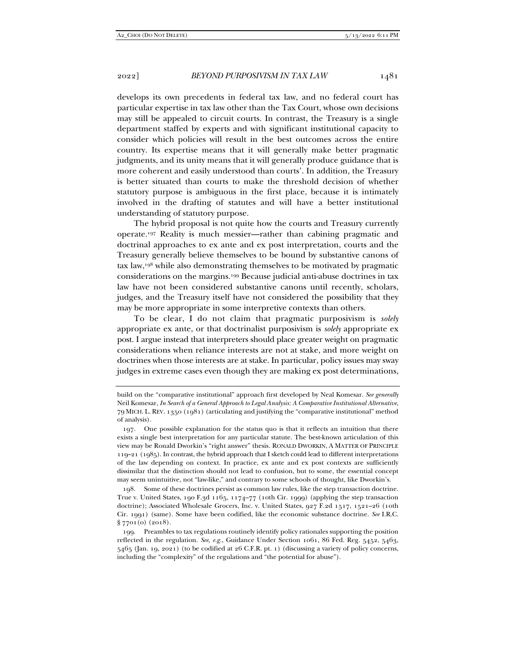develops its own precedents in federal tax law, and no federal court has particular expertise in tax law other than the Tax Court, whose own decisions may still be appealed to circuit courts. In contrast, the Treasury is a single department staffed by experts and with significant institutional capacity to consider which policies will result in the best outcomes across the entire country. Its expertise means that it will generally make better pragmatic judgments, and its unity means that it will generally produce guidance that is more coherent and easily understood than courts'. In addition, the Treasury is better situated than courts to make the threshold decision of whether statutory purpose is ambiguous in the first place, because it is intimately involved in the drafting of statutes and will have a better institutional understanding of statutory purpose.

The hybrid proposal is not quite how the courts and Treasury currently operate.197 Reality is much messier—rather than cabining pragmatic and doctrinal approaches to ex ante and ex post interpretation, courts and the Treasury generally believe themselves to be bound by substantive canons of tax law,198 while also demonstrating themselves to be motivated by pragmatic considerations on the margins.199 Because judicial anti-abuse doctrines in tax law have not been considered substantive canons until recently, scholars, judges, and the Treasury itself have not considered the possibility that they may be more appropriate in some interpretive contexts than others.

To be clear, I do not claim that pragmatic purposivism is *solely* appropriate ex ante, or that doctrinalist purposivism is *solely* appropriate ex post. I argue instead that interpreters should place greater weight on pragmatic considerations when reliance interests are not at stake, and more weight on doctrines when those interests are at stake. In particular, policy issues may sway judges in extreme cases even though they are making ex post determinations,

 198. Some of these doctrines persist as common law rules, like the step transaction doctrine. True v. United States, 190 F.3d 1165, 1174–77 (10th Cir. 1999) (applying the step transaction doctrine); Associated Wholesale Grocers, Inc. v. United States, 927 F.2d 1517, 1521-26 (10th Cir. 1991) (same). Some have been codified, like the economic substance doctrine. *See* I.R.C. § 7701(o) (2018).

build on the "comparative institutional" approach first developed by Neal Komesar. *See generally* Neil Komesar, *In Search of a General Approach to Legal Analysis: A Comparative Institutional Alternative*, 79 MICH. L. REV. 1350 (1981) (articulating and justifying the "comparative institutional" method of analysis).

 <sup>197.</sup> One possible explanation for the status quo is that it reflects an intuition that there exists a single best interpretation for any particular statute. The best-known articulation of this view may be Ronald Dworkin's "right answer" thesis. RONALD DWORKIN, A MATTER OF PRINCIPLE 119–21 (1985). In contrast, the hybrid approach that I sketch could lead to different interpretations of the law depending on context. In practice, ex ante and ex post contexts are sufficiently dissimilar that the distinction should not lead to confusion, but to some, the essential concept may seem unintuitive, not "law-like," and contrary to some schools of thought, like Dworkin's.

 <sup>199.</sup> Preambles to tax regulations routinely identify policy rationales supporting the position reflected in the regulation. *See, e.g.*, Guidance Under Section 1061, 86 Fed. Reg. 5452, 5463, 5465 (Jan. 19, 2021) (to be codified at 26 C.F.R. pt. 1) (discussing a variety of policy concerns, including the "complexity" of the regulations and "the potential for abuse").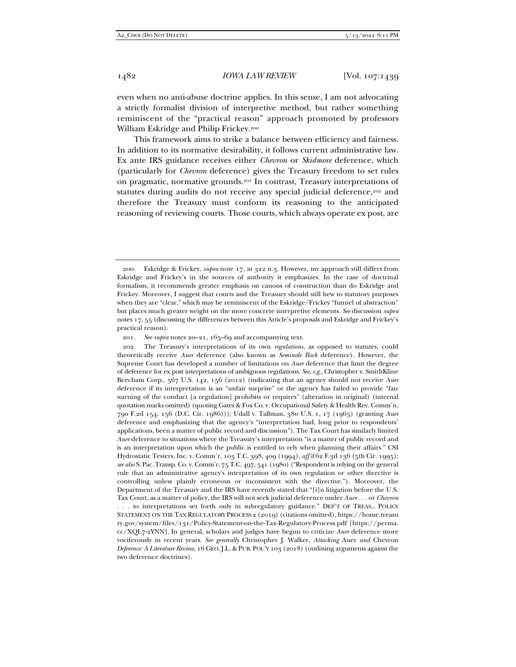even when no anti-abuse doctrine applies. In this sense, I am not advocating a strictly formalist division of interpretive method, but rather something reminiscent of the "practical reason" approach promoted by professors William Eskridge and Philip Frickey.200

This framework aims to strike a balance between efficiency and fairness. In addition to its normative desirability, it follows current administrative law. Ex ante IRS guidance receives either *Chevron* or *Skidmore* deference, which (particularly for *Chevron* deference) gives the Treasury freedom to set rules on pragmatic, normative grounds.201 In contrast, Treasury interpretations of statutes during audits do not receive any special judicial deference,<sup>202</sup> and therefore the Treasury must conform its reasoning to the anticipated reasoning of reviewing courts. Those courts, which always operate ex post, are

*. . .* to interpretations set forth only in subregulatory guidance." DEP'T OF TREAS., POLICY STATEMENT ON THE TAX REGULATORY PROCESS 2 (2019) (citations omitted), https://home.treasu ry.gov/system/files/131/Policy-Statement-on-the-Tax-Regulatory-Process.pdf [https://perma. cc/XQL7-2YNN]. In general, scholars and judges have begun to criticize *Auer* deference more vociferously in recent years. *See generally* Christopher J. Walker, *Attacking* Auer *and* Chevron *Deference: A Literature Review*, 16 GEO.J.L. & PUB. POL'Y 103 (2018) (outlining arguments against the two deference doctrines).

 <sup>200.</sup> Eskridge & Frickey, *supra* note 17, at 322 n.3. However, my approach still differs from Eskridge and Frickey's in the sources of authority it emphasizes. In the case of doctrinal formalism, it recommends greater emphasis on canons of construction than do Eskridge and Frickey. Moreover, I suggest that courts and the Treasury should still hew to statutory purposes when they are "clear," which may be reminiscent of the Eskridge/Frickey "funnel of abstraction" but places much greater weight on the more concrete interpretive elements. *See* discussion *supra* notes 17, 55 (discussing the differences between this Article's proposals and Eskridge and Frickey's practical reason).

<sup>201</sup>*. See supra* notes 20–21, 165–69 and accompanying text.

 <sup>202.</sup> The Treasury's interpretations of its own *regulations*, as opposed to statutes, could theoretically receive *Auer* deference (also known as *Seminole Rock* deference). However, the Supreme Court has developed a number of limitations on *Auer* deference that limit the degree of deference for ex post interpretations of ambiguous regulations. *See, e.g.*, Christopher v. SmithKline Beecham Corp., 567 U.S. 142, 156 (2012) (indicating that an agency should not receive *Auer* deference if its interpretation is an "unfair surprise" or the agency has failed to provide "fair warning of the conduct [a regulation] prohibits or requires" (alteration in original) (internal quotation marks omitted) (quoting Gates & Fox Co. v. Occupational Safety & Health Rev. Comm'n, 790 F.2d 154, 156 (D.C. Cir. 1986))); Udall v. Tallman, 380 U.S. 1, 17 (1965) (granting *Auer* deference and emphasizing that the agency's "interpretation had, long prior to respondents' applications, been a matter of public record and discussion"). The Tax Court has similarly limited *Auer* deference to situations where the Treasury's interpretation "is a matter of public record and is an interpretation upon which the public is entitled to rely when planning their affairs." CSI Hydrostatic Testers, Inc. v. Comm'r, 103 T.C. 398, 409 (1994), *aff'd* 62 F.3d 136 (5th Cir. 1995); *see also* S. Pac. Transp. Co. v. Comm'r, 75 T.C. 497, 541 (1980) ("Respondent is relying on the general rule that an administrative agency's interpretation of its own regulation or other directive is controlling unless plainly erroneous or inconsistent with the directive."). Moreover, the Department of the Treasury and the IRS have recently stated that "[i]n litigation before the U.S. Tax Court, as a matter of policy, the IRS will not seek judicial deference under *Auer . . .* or *Chevron*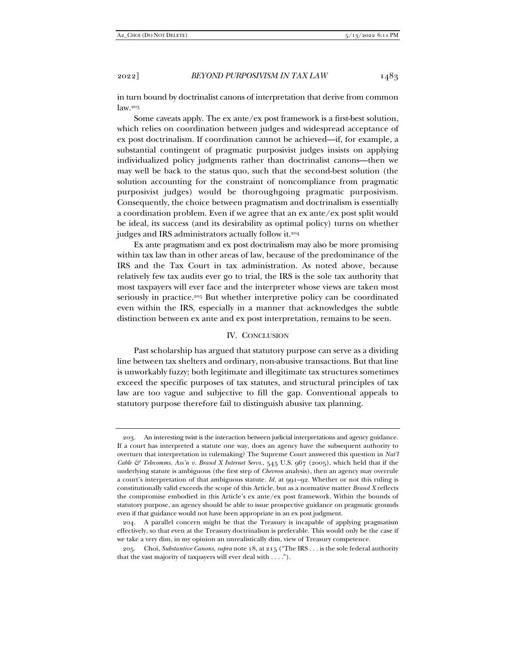in turn bound by doctrinalist canons of interpretation that derive from common law.203

Some caveats apply. The ex ante/ex post framework is a first-best solution, which relies on coordination between judges and widespread acceptance of ex post doctrinalism. If coordination cannot be achieved—if, for example, a substantial contingent of pragmatic purposivist judges insists on applying individualized policy judgments rather than doctrinalist canons—then we may well be back to the status quo, such that the second-best solution (the solution accounting for the constraint of noncompliance from pragmatic purposivist judges) would be thoroughgoing pragmatic purposivism. Consequently, the choice between pragmatism and doctrinalism is essentially a coordination problem. Even if we agree that an ex ante/ex post split would be ideal, its success (and its desirability as optimal policy) turns on whether judges and IRS administrators actually follow it.<sup>204</sup>

Ex ante pragmatism and ex post doctrinalism may also be more promising within tax law than in other areas of law, because of the predominance of the IRS and the Tax Court in tax administration. As noted above, because relatively few tax audits ever go to trial, the IRS is the sole tax authority that most taxpayers will ever face and the interpreter whose views are taken most seriously in practice.205 But whether interpretive policy can be coordinated even within the IRS, especially in a manner that acknowledges the subtle distinction between ex ante and ex post interpretation, remains to be seen.

# IV. CONCLUSION

Past scholarship has argued that statutory purpose can serve as a dividing line between tax shelters and ordinary, non-abusive transactions. But that line is unworkably fuzzy; both legitimate and illegitimate tax structures sometimes exceed the specific purposes of tax statutes, and structural principles of tax law are too vague and subjective to fill the gap. Conventional appeals to statutory purpose therefore fail to distinguish abusive tax planning.

 <sup>203.</sup> An interesting twist is the interaction between judicial interpretations and agency guidance. If a court has interpreted a statute one way, does an agency have the subsequent authority to overturn that interpretation in rulemaking? The Supreme Court answered this question in *Nat'l Cable & Telecomms. Ass'n v. Brand X Internet Servs.*, 545 U.S. 967 (2005), which held that if the underlying statute is ambiguous (the first step of *Chevron* analysis), then an agency may overrule a court's interpretation of that ambiguous statute. *Id.* at 991–92. Whether or not this ruling is constitutionally valid exceeds the scope of this Article, but as a normative matter *Brand X* reflects the compromise embodied in this Article's ex ante/ex post framework. Within the bounds of statutory purpose, an agency should be able to issue prospective guidance on pragmatic grounds even if that guidance would not have been appropriate in an ex post judgment.

 <sup>204.</sup> A parallel concern might be that the Treasury is incapable of applying pragmatism effectively, so that even at the Treasury doctrinalism is preferable. This would only be the case if we take a very dim, in my opinion an unrealistically dim, view of Treasury competence.

 <sup>205.</sup> Choi, *Substantive Canons*, *supra* note 18, at 215 ("The IRS . . . is the sole federal authority that the vast majority of taxpayers will ever deal with . . . .").